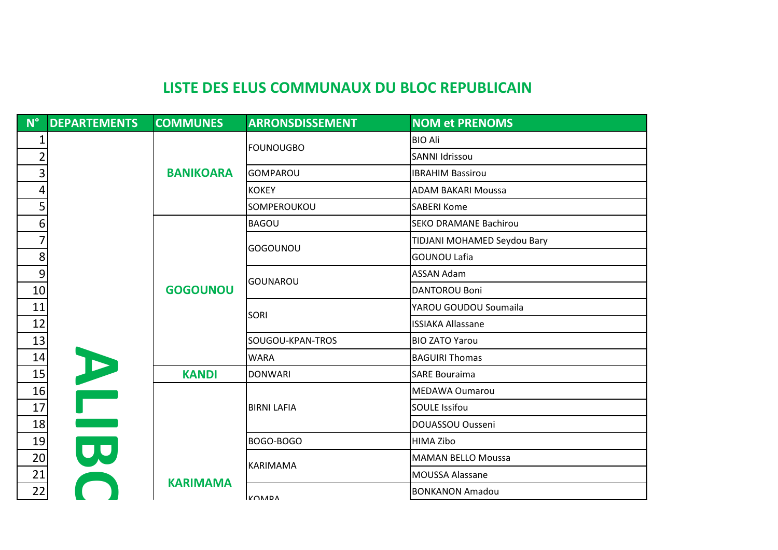| $N^{\circ}$<br><b>DEPARTEMENTS</b> | <b>COMMUNES</b>  | <b>ARRONSDISSEMENT</b> | <b>NOM et PRENOMS</b>        |
|------------------------------------|------------------|------------------------|------------------------------|
| 1                                  |                  | FOUNOUGBO              | <b>BIO Ali</b>               |
| $\overline{2}$                     |                  |                        | <b>SANNI Idrissou</b>        |
| 3                                  | <b>BANIKOARA</b> | <b>GOMPAROU</b>        | <b>IBRAHIM Bassirou</b>      |
| 4                                  |                  | KOKEY                  | <b>ADAM BAKARI Moussa</b>    |
| 5                                  |                  | SOMPEROUKOU            | <b>SABERI Kome</b>           |
| 6 <sup>1</sup>                     |                  | <b>BAGOU</b>           | <b>SEKO DRAMANE Bachirou</b> |
| 7                                  |                  |                        | TIDJANI MOHAMED Seydou Bary  |
| 8                                  |                  | GOGOUNOU               | <b>GOUNOU Lafia</b>          |
| 9                                  |                  |                        | <b>ASSAN Adam</b>            |
| 10                                 | <b>GOGOUNOU</b>  | lgounarou              | <b>DANTOROU Boni</b>         |
| 11                                 |                  |                        | YAROU GOUDOU Soumaila        |
| 12                                 |                  | <b>SORI</b>            | <b>ISSIAKA Allassane</b>     |
| 13                                 |                  | SOUGOU-KPAN-TROS       | <b>BIO ZATO Yarou</b>        |
| 14                                 |                  | <b>WARA</b>            | <b>BAGUIRI Thomas</b>        |
| 15                                 | <b>KANDI</b>     | <b>DONWARI</b>         | <b>SARE Bouraima</b>         |
| 16                                 |                  |                        | <b>MEDAWA Oumarou</b>        |
| 17                                 |                  | <b>BIRNI LAFIA</b>     | <b>SOULE Issifou</b>         |
| 18                                 |                  |                        | DOUASSOU Ousseni             |
| 19                                 |                  | BOGO-BOGO              | HIMA Zibo                    |
| 20                                 |                  |                        | <b>MAMAN BELLO Moussa</b>    |
| 21                                 |                  | KARIMAMA               | MOUSSA Alassane              |
| 22                                 | <b>KARIMAMA</b>  | <b>IKONADA</b>         | <b>BONKANON Amadou</b>       |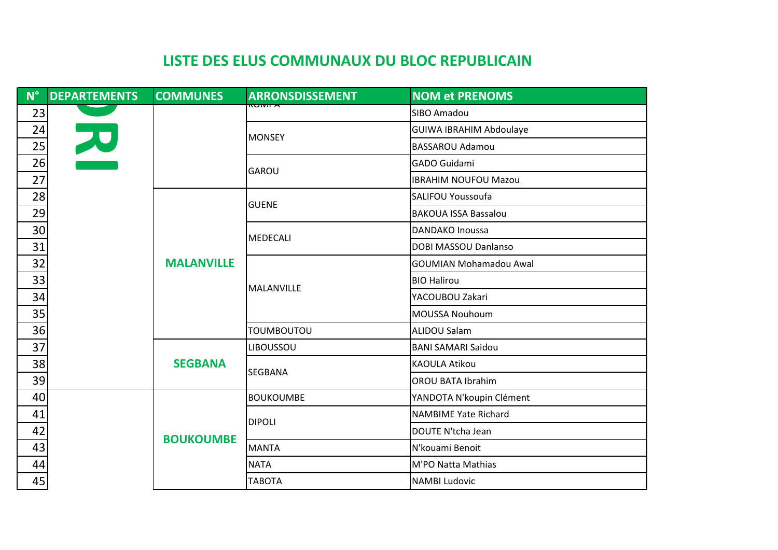| $N^{\circ}$ | <b>DEPARTEMENTS</b> | <b>COMMUNES</b>   | <b>ARRONSDISSEMENT</b> | <b>NOM et PRENOMS</b>          |
|-------------|---------------------|-------------------|------------------------|--------------------------------|
| 23          |                     |                   | <del>numr</del>        | SIBO Amadou                    |
| 24          | E                   |                   |                        | <b>GUIWA IBRAHIM Abdoulaye</b> |
| 25          |                     |                   | <b>MONSEY</b>          | <b>BASSAROU Adamou</b>         |
| 26          |                     |                   | <b>GAROU</b>           | <b>GADO Guidami</b>            |
| 27          |                     |                   |                        | <b>IBRAHIM NOUFOU Mazou</b>    |
| 28          |                     |                   | <b>GUENE</b>           | <b>SALIFOU Youssoufa</b>       |
| 29          |                     |                   |                        | <b>BAKOUA ISSA Bassalou</b>    |
| 30          |                     |                   | MEDECALI               | <b>DANDAKO Inoussa</b>         |
| 31          |                     | <b>MALANVILLE</b> |                        | <b>DOBI MASSOU Danlanso</b>    |
| 32          |                     |                   | MALANVILLE             | <b>GOUMIAN Mohamadou Awal</b>  |
| 33          |                     |                   |                        | <b>BIO Halirou</b>             |
| 34          |                     |                   |                        | YACOUBOU Zakari                |
| 35          |                     |                   |                        | <b>MOUSSA Nouhoum</b>          |
| 36          |                     |                   | <b>TOUMBOUTOU</b>      | <b>ALIDOU Salam</b>            |
| 37          |                     |                   | <b>LIBOUSSOU</b>       | <b>BANI SAMARI Saidou</b>      |
| 38          |                     | <b>SEGBANA</b>    | <b>SEGBANA</b>         | <b>KAOULA Atikou</b>           |
| 39          |                     |                   |                        | <b>OROU BATA Ibrahim</b>       |
| 40          |                     |                   | <b>BOUKOUMBE</b>       | YANDOTA N'koupin Clément       |
| 41          |                     |                   | <b>DIPOLI</b>          | <b>NAMBIME Yate Richard</b>    |
| 42          |                     | <b>BOUKOUMBE</b>  |                        | DOUTE N'tcha Jean              |
| 43          |                     |                   | MANTA                  | N'kouami Benoit                |
| 44          |                     |                   | <b>NATA</b>            | M'PO Natta Mathias             |
| 45          |                     |                   | <b>TABOTA</b>          | <b>NAMBI Ludovic</b>           |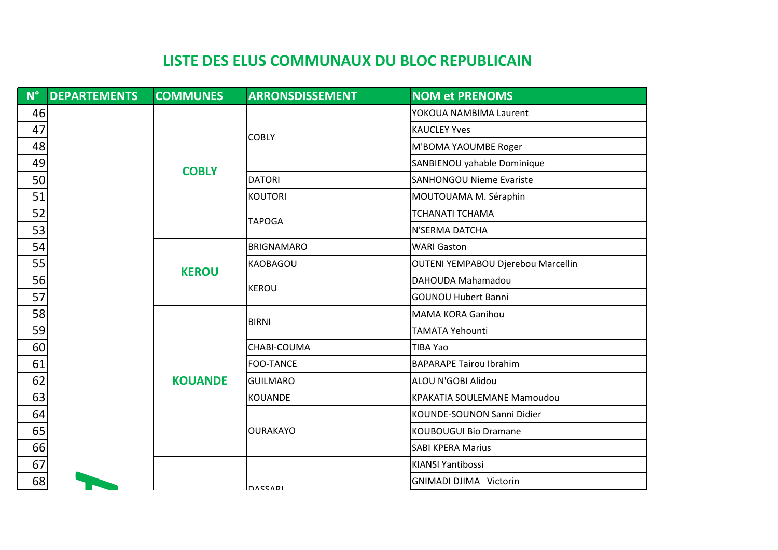| $\mathbf{l}^{\circ}$ | <b>DEPARTEMENTS</b> | <b>COMMUNES</b> | <b>ARRONSDISSEMENT</b> | <b>NOM et PRENOMS</b>              |
|----------------------|---------------------|-----------------|------------------------|------------------------------------|
| 46                   |                     |                 |                        | YOKOUA NAMBIMA Laurent             |
|                      |                     | <b>COBLY</b>    | <b>COBLY</b>           | <b>KAUCLEY Yves</b>                |
|                      |                     |                 |                        | M'BOMA YAOUMBE Roger               |
|                      |                     |                 |                        | SANBIENOU yahable Dominique        |
|                      |                     |                 | <b>DATORI</b>          | <b>SANHONGOU Nieme Evariste</b>    |
|                      |                     |                 | <b>KOUTORI</b>         | MOUTOUAMA M. Séraphin              |
|                      |                     |                 | <b>TAPOGA</b>          | TCHANATI TCHAMA                    |
|                      |                     |                 |                        | N'SERMA DATCHA                     |
|                      |                     | <b>KEROU</b>    | <b>BRIGNAMARO</b>      | <b>WARI Gaston</b>                 |
|                      |                     |                 | <b>KAOBAGOU</b>        | OUTENI YEMPABOU Djerebou Marcellin |
|                      |                     |                 | <b>KEROU</b>           | DAHOUDA Mahamadou                  |
|                      |                     |                 |                        | <b>GOUNOU Hubert Banni</b>         |
|                      |                     |                 | <b>BIRNI</b>           | <b>MAMA KORA Ganihou</b>           |
|                      |                     |                 |                        | <b>TAMATA Yehounti</b>             |
|                      |                     |                 | CHABI-COUMA            | TIBA Yao                           |
|                      |                     |                 | <b>FOO-TANCE</b>       | <b>BAPARAPE Tairou Ibrahim</b>     |
|                      |                     | <b>KOUANDE</b>  | <b>GUILMARO</b>        | ALOU N'GOBI Alidou                 |
|                      |                     |                 | <b>KOUANDE</b>         | <b>KPAKATIA SOULEMANE Mamoudou</b> |
|                      |                     |                 |                        | KOUNDE-SOUNON Sanni Didier         |
|                      |                     |                 | <b>OURAKAYO</b>        | <b>KOUBOUGUI Bio Dramane</b>       |
|                      |                     |                 |                        | <b>SABI KPERA Marius</b>           |
|                      |                     |                 |                        | KIANSI Yantibossi                  |
| 68                   |                     |                 | INASSARI               | <b>GNIMADI DJIMA Victorin</b>      |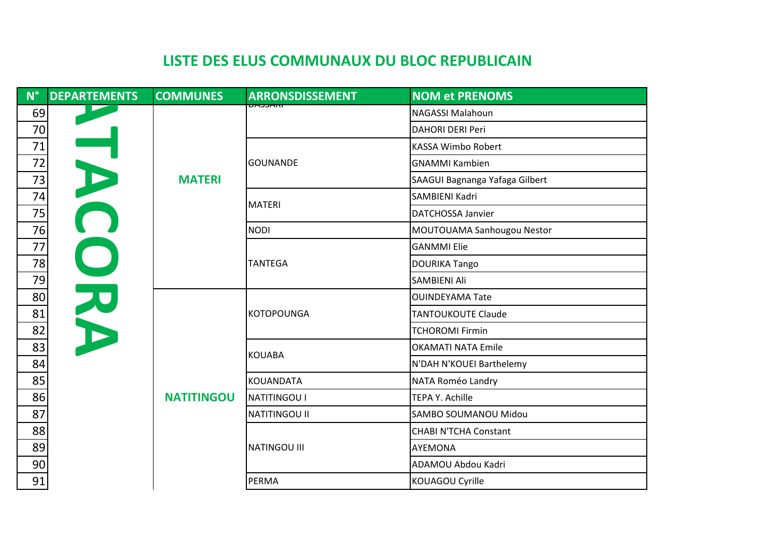$N^{\circ}$ 

| $N^{\circ}$ | <b>DEPARTEMENTS</b> | <b>COMMUNES</b>   | <b>ARRONSDISSEMENT</b> | <b>NOM et PRENOMS</b>          |
|-------------|---------------------|-------------------|------------------------|--------------------------------|
| 69          |                     |                   | <u>ווויזכנוזק</u>      | <b>NAGASSI Malahoun</b>        |
| 70          |                     |                   |                        | <b>DAHORI DERI Peri</b>        |
| $71\,$      |                     |                   |                        | KASSA Wimbo Robert             |
| 72          |                     |                   | <b>GOUNANDE</b>        | <b>GNAMMI Kambien</b>          |
| 73          | HAC                 | <b>MATERI</b>     |                        | SAAGUI Bagnanga Yafaga Gilbert |
| 74          |                     |                   | <b>MATERI</b>          | SAMBIENI Kadri                 |
| 75          |                     |                   |                        | <b>DATCHOSSA Janvier</b>       |
| 76          |                     |                   | <b>NODI</b>            | MOUTOUAMA Sanhougou Nestor     |
| $77 \,$     | OND                 |                   |                        | <b>GANMMI Elie</b>             |
| 78          |                     |                   | <b>TANTEGA</b>         | DOURIKA Tango                  |
| 79          |                     |                   |                        | SAMBIENI Ali                   |
| 80          |                     |                   |                        | <b>OUINDEYAMA Tate</b>         |
| 81          |                     |                   | <b>KOTOPOUNGA</b>      | <b>TANTOUKOUTE Claude</b>      |
| 82          |                     |                   |                        | <b>TCHOROMI Firmin</b>         |
| 83          |                     |                   | <b>KOUABA</b>          | <b>OKAMATI NATA Emile</b>      |
| 84          |                     |                   |                        | N'DAH N'KOUEI Barthelemy       |
| 85          |                     |                   | <b>KOUANDATA</b>       | NATA Roméo Landry              |
| 86          |                     | <b>NATITINGOU</b> | <b>NATITINGOU I</b>    | TEPA Y. Achille                |
| 87          |                     |                   | NATITINGOU II          | SAMBO SOUMANOU Midou           |
| 88          |                     |                   |                        | <b>CHABI N'TCHA Constant</b>   |
| 89          |                     |                   | <b>NATINGOU III</b>    | <b>AYEMONA</b>                 |
| 90          |                     |                   |                        | ADAMOU Abdou Kadri             |
| 91          |                     |                   | <b>PERMA</b>           | KOUAGOU Cyrille                |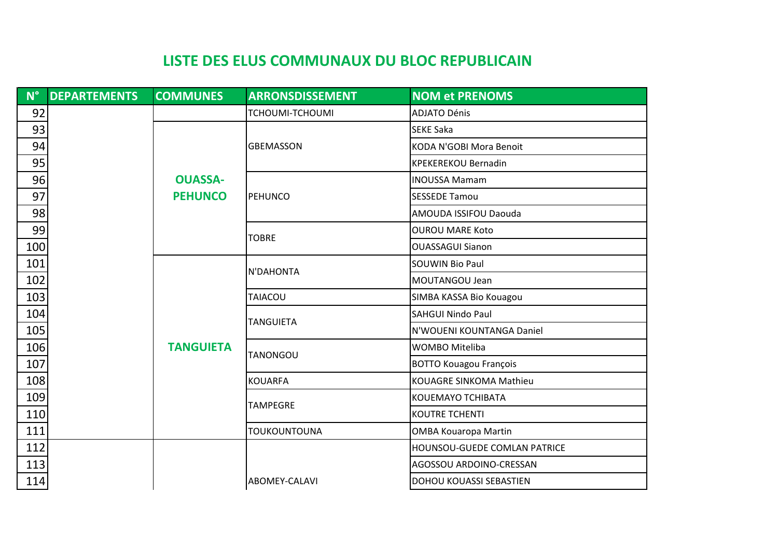| $N^{\circ}$ | <b>DEPARTEMENTS</b> | <b>COMMUNES</b>  | <b>ARRONSDISSEMENT</b> | <b>NOM et PRENOMS</b>          |
|-------------|---------------------|------------------|------------------------|--------------------------------|
| 92          |                     |                  | <b>TCHOUMI-TCHOUMI</b> | <b>ADJATO Dénis</b>            |
| 93          |                     |                  |                        | <b>SEKE Saka</b>               |
| 94          |                     |                  | <b>GBEMASSON</b>       | KODA N'GOBI Mora Benoit        |
| 95          |                     |                  |                        | <b>KPEKEREKOU Bernadin</b>     |
| 96          |                     | <b>OUASSA-</b>   |                        | <b>INOUSSA Mamam</b>           |
| 97          |                     | <b>PEHUNCO</b>   | PEHUNCO                | <b>SESSEDE Tamou</b>           |
| 98          |                     |                  |                        | AMOUDA ISSIFOU Daouda          |
| 99          |                     |                  | <b>TOBRE</b>           | <b>OUROU MARE Koto</b>         |
| 100         |                     |                  |                        | <b>OUASSAGUI Sianon</b>        |
| 101         |                     |                  | N'DAHONTA              | <b>SOUWIN Bio Paul</b>         |
| 102         |                     |                  |                        | MOUTANGOU Jean                 |
| 103         |                     |                  | <b>TAIACOU</b>         | SIMBA KASSA Bio Kouagou        |
| 104         |                     |                  | <b>TANGUIETA</b>       | <b>SAHGUI Nindo Paul</b>       |
| 105         |                     |                  |                        | N'WOUENI KOUNTANGA Daniel      |
| 106         |                     | <b>TANGUIETA</b> | <b>TANONGOU</b>        | WOMBO Miteliba                 |
| 107         |                     |                  |                        | <b>BOTTO Kouagou François</b>  |
| 108         |                     |                  | <b>KOUARFA</b>         | <b>KOUAGRE SINKOMA Mathieu</b> |
| 109         |                     |                  | <b>TAMPEGRE</b>        | KOUEMAYO TCHIBATA              |
| 110         |                     |                  |                        | <b>KOUTRE TCHENTI</b>          |
| 111         |                     |                  | <b>TOUKOUNTOUNA</b>    | <b>OMBA Kouaropa Martin</b>    |
| 112         |                     |                  |                        | HOUNSOU-GUEDE COMLAN PATRICE   |
| 113         |                     |                  |                        | AGOSSOU ARDOINO-CRESSAN        |
| 114         |                     |                  | ABOMEY-CALAVI          | DOHOU KOUASSI SEBASTIEN        |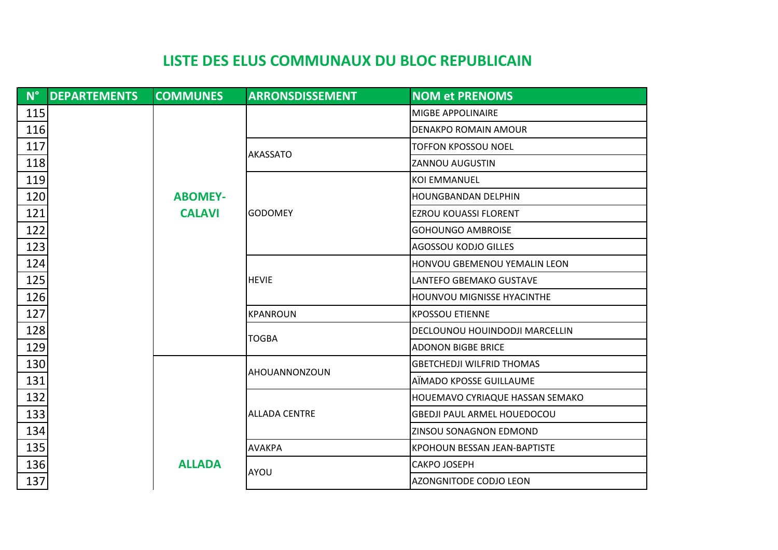| $N^{\circ}$ | <b>DEPARTEMENTS</b> | <b>COMMUNES</b> | <b>ARRONSDISSEMENT</b> | <b>NOM et PRENOMS</b>               |
|-------------|---------------------|-----------------|------------------------|-------------------------------------|
| 115         |                     |                 |                        | <b>MIGBE APPOLINAIRE</b>            |
| 116         |                     |                 |                        | <b>DENAKPO ROMAIN AMOUR</b>         |
| 117         |                     |                 | <b>AKASSATO</b>        | TOFFON KPOSSOU NOEL                 |
| 118         |                     |                 |                        | <b>ZANNOU AUGUSTIN</b>              |
| 119         |                     |                 |                        | <b>KOI EMMANUEL</b>                 |
| 120         |                     | <b>ABOMEY-</b>  |                        | <b>HOUNGBANDAN DELPHIN</b>          |
| 121         |                     | <b>CALAVI</b>   | lgodomey               | <b>EZROU KOUASSI FLORENT</b>        |
| 122         |                     |                 |                        | <b>GOHOUNGO AMBROISE</b>            |
| 123         |                     |                 |                        | AGOSSOU KODJO GILLES                |
| 124         |                     |                 |                        | HONVOU GBEMENOU YEMALIN LEON        |
| 125         |                     |                 | <b>HEVIE</b>           | LANTEFO GBEMAKO GUSTAVE             |
| 126         |                     |                 |                        | HOUNVOU MIGNISSE HYACINTHE          |
| 127         |                     |                 | <b>KPANROUN</b>        | <b>KPOSSOU ETIENNE</b>              |
| 128         |                     |                 | <b>TOGBA</b>           | DECLOUNOU HOUINDODJI MARCELLIN      |
| 129         |                     |                 |                        | <b>ADONON BIGBE BRICE</b>           |
| 130         |                     |                 | AHOUANNONZOUN          | <b>GBETCHEDJI WILFRID THOMAS</b>    |
| 131         |                     |                 |                        | AÏMADO KPOSSE GUILLAUME             |
| 132         |                     |                 |                        | HOUEMAVO CYRIAQUE HASSAN SEMAKO     |
| 133         |                     |                 | <b>ALLADA CENTRE</b>   | <b>GBEDJI PAUL ARMEL HOUEDOCOU</b>  |
| 134         |                     |                 |                        | ZINSOU SONAGNON EDMOND              |
| 135         |                     |                 | AVAKPA                 | <b>KPOHOUN BESSAN JEAN-BAPTISTE</b> |
| 136         |                     | <b>ALLADA</b>   | AYOU                   | CAKPO JOSEPH                        |
| 137         |                     |                 |                        | <b>AZONGNITODE CODJO LEON</b>       |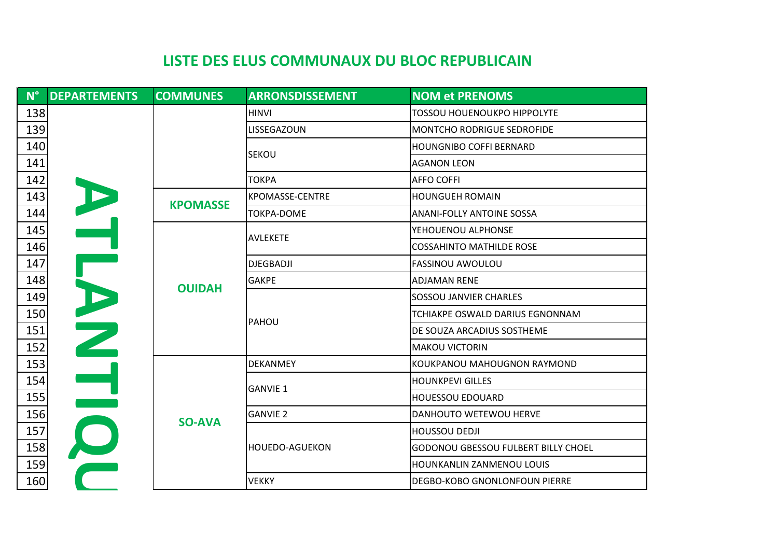| $\blacksquare$ N° $\blacksquare$ | <b>DEPARTEMENTS</b> | <b>COMMUNES</b> | <b>ARRONSDISSEMENT</b> | <b>NOM et PRENOMS</b>                      |
|----------------------------------|---------------------|-----------------|------------------------|--------------------------------------------|
| 138                              |                     |                 | <b>HINVI</b>           | <b>TOSSOU HOUENOUKPO HIPPOLYTE</b>         |
| 139                              |                     |                 | LISSEGAZOUN            | MONTCHO RODRIGUE SEDROFIDE                 |
| 140                              |                     |                 | <b>SEKOU</b>           | <b>HOUNGNIBO COFFI BERNARD</b>             |
| 141                              |                     |                 |                        | <b>AGANON LEON</b>                         |
| 142                              |                     |                 | <b>TOKPA</b>           | <b>AFFO COFFI</b>                          |
| 143                              |                     |                 | <b>KPOMASSE-CENTRE</b> | <b>HOUNGUEH ROMAIN</b>                     |
| 144                              |                     | <b>KPOMASSE</b> | <b>TOKPA-DOME</b>      | <b>ANANI-FOLLY ANTOINE SOSSA</b>           |
| 145                              | $\blacktriangle$    |                 |                        | YEHOUENOU ALPHONSE                         |
| 146                              |                     |                 | <b>AVLEKETE</b>        | <b>COSSAHINTO MATHILDE ROSE</b>            |
| 147                              |                     | <b>OUIDAH</b>   | <b>DJEGBADJI</b>       | <b>FASSINOU AWOULOU</b>                    |
| 148                              |                     |                 | <b>GAKPE</b>           | <b>ADJAMAN RENE</b>                        |
| 149                              |                     |                 | PAHOU                  | SOSSOU JANVIER CHARLES                     |
| 150                              |                     |                 |                        | TCHIAKPE OSWALD DARIUS EGNONNAM            |
| 151                              | D<br>H<br>H         |                 |                        | DE SOUZA ARCADIUS SOSTHEME                 |
| 152                              |                     |                 |                        | <b>MAKOU VICTORIN</b>                      |
| 153                              |                     |                 | <b>DEKANMEY</b>        | KOUKPANOU MAHOUGNON RAYMOND                |
| 154                              |                     |                 | <b>GANVIE 1</b>        | <b>HOUNKPEVI GILLES</b>                    |
| 155                              |                     |                 |                        | <b>HOUESSOU EDOUARD</b>                    |
| 156                              |                     | <b>SO-AVA</b>   | <b>GANVIE 2</b>        | DANHOUTO WETEWOU HERVE                     |
| 157                              |                     |                 |                        | <b>HOUSSOU DEDJI</b>                       |
| 158                              |                     |                 | <b>HOUEDO-AGUEKON</b>  | <b>GODONOU GBESSOU FULBERT BILLY CHOEL</b> |
| 159                              |                     |                 |                        | HOUNKANLIN ZANMENOU LOUIS                  |
| 160                              |                     |                 | <b>VEKKY</b>           | DEGBO-KOBO GNONLONFOUN PIERRE              |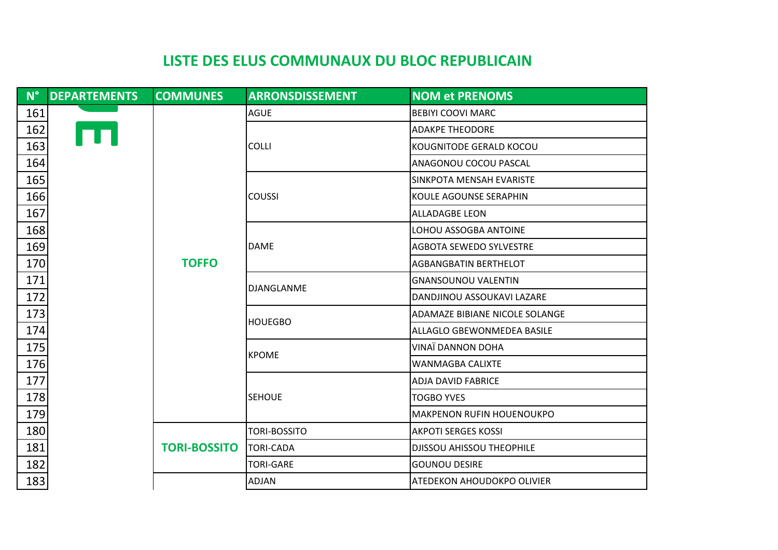| $N^{\circ}$ | <b>DEPARTEMENTS</b> | <b>COMMUNES</b>     | <b>ARRONSDISSEMENT</b>       | <b>NOM et PRENOMS</b>             |
|-------------|---------------------|---------------------|------------------------------|-----------------------------------|
| 161         |                     |                     | <b>AGUE</b>                  | <b>BEBIYI COOVI MARC</b>          |
| 162         |                     |                     |                              | <b>ADAKPE THEODORE</b>            |
| 163         |                     |                     | <b>COLLI</b>                 | KOUGNITODE GERALD KOCOU           |
| 164         |                     |                     |                              | ANAGONOU COCOU PASCAL             |
| 165         |                     |                     |                              | SINKPOTA MENSAH EVARISTE          |
| 166         | <b>TOFFO</b>        |                     | <b>COUSSI</b>                | KOULE AGOUNSE SERAPHIN            |
| 167         |                     |                     |                              | <b>ALLADAGBE LEON</b>             |
| 168         |                     |                     |                              | LOHOU ASSOGBA ANTOINE             |
| 169         |                     |                     | <b>DAME</b>                  | <b>AGBOTA SEWEDO SYLVESTRE</b>    |
| 170         |                     |                     | <b>AGBANGBATIN BERTHELOT</b> |                                   |
| 171         |                     |                     | <b>GNANSOUNOU VALENTIN</b>   |                                   |
| 172         |                     |                     | <b>DJANGLANME</b>            | DANDJINOU ASSOUKAVI LAZARE        |
| 173         |                     |                     | <b>HOUEGBO</b>               | ADAMAZE BIBIANE NICOLE SOLANGE    |
| 174         |                     |                     |                              | <b>ALLAGLO GBEWONMEDEA BASILE</b> |
| 175         |                     |                     | <b>KPOME</b>                 | VINAÏ DANNON DOHA                 |
| 176         |                     |                     |                              | <b>WANMAGBA CALIXTE</b>           |
| 177         |                     |                     |                              | <b>ADJA DAVID FABRICE</b>         |
| 178         |                     |                     | <b>SEHOUE</b>                | <b>TOGBO YVES</b>                 |
| 179         |                     |                     |                              | <b>MAKPENON RUFIN HOUENOUKPO</b>  |
| 180         |                     |                     | TORI-BOSSITO                 | <b>AKPOTI SERGES KOSSI</b>        |
| 181         |                     | <b>TORI-BOSSITO</b> | TORI-CADA                    | <b>DJISSOU AHISSOU THEOPHILE</b>  |
| 182         |                     |                     | <b>TORI-GARE</b>             | <b>GOUNOU DESIRE</b>              |
| 183         |                     |                     | <b>ADJAN</b>                 | <b>ATEDEKON AHOUDOKPO OLIVIER</b> |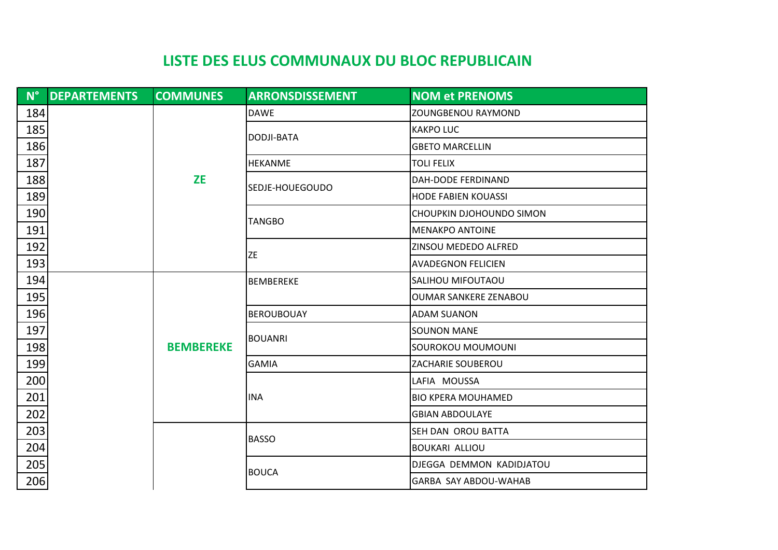|     | N° DEPARTEMENTS | <b>COMMUNES</b>  | <b>ARRONSDISSEMENT</b> | <b>NOM et PRENOMS</b>        |
|-----|-----------------|------------------|------------------------|------------------------------|
| 184 |                 |                  | <b>DAWE</b>            | <b>ZOUNGBENOU RAYMOND</b>    |
| 185 |                 |                  |                        | <b>KAKPO LUC</b>             |
| 186 |                 |                  | DODJI-BATA             | <b>GBETO MARCELLIN</b>       |
| 187 |                 |                  | <b>HEKANME</b>         | <b>TOLI FELIX</b>            |
| 188 |                 | <b>ZE</b>        | SEDJE-HOUEGOUDO        | DAH-DODE FERDINAND           |
| 189 |                 |                  |                        | <b>HODE FABIEN KOUASSI</b>   |
| 190 |                 |                  | TANGBO                 | CHOUPKIN DJOHOUNDO SIMON     |
| 191 |                 |                  |                        | <b>MENAKPO ANTOINE</b>       |
| 192 |                 |                  | ZE                     | ZINSOU MEDEDO ALFRED         |
| 193 |                 |                  |                        | <b>AVADEGNON FELICIEN</b>    |
| 194 |                 | <b>BEMBEREKE</b> | <b>BEMBEREKE</b>       | SALIHOU MIFOUTAOU            |
| 195 |                 |                  |                        | <b>OUMAR SANKERE ZENABOU</b> |
| 196 |                 |                  | <b>BEROUBOUAY</b>      | <b>ADAM SUANON</b>           |
| 197 |                 |                  | <b>BOUANRI</b>         | <b>SOUNON MANE</b>           |
| 198 |                 |                  |                        | SOUROKOU MOUMOUNI            |
| 199 |                 |                  | <b>GAMIA</b>           | ZACHARIE SOUBEROU            |
| 200 |                 |                  |                        | LAFIA MOUSSA                 |
| 201 |                 |                  | <b>INA</b>             | <b>BIO KPERA MOUHAMED</b>    |
| 202 |                 |                  |                        | <b>GBIAN ABDOULAYE</b>       |
| 203 |                 |                  | <b>BASSO</b>           | SEH DAN OROU BATTA           |
| 204 |                 |                  |                        | <b>BOUKARI ALLIOU</b>        |
| 205 |                 |                  | <b>BOUCA</b>           | DJEGGA DEMMON KADIDJATOU     |
| 206 |                 |                  |                        | GARBA SAY ABDOU-WAHAB        |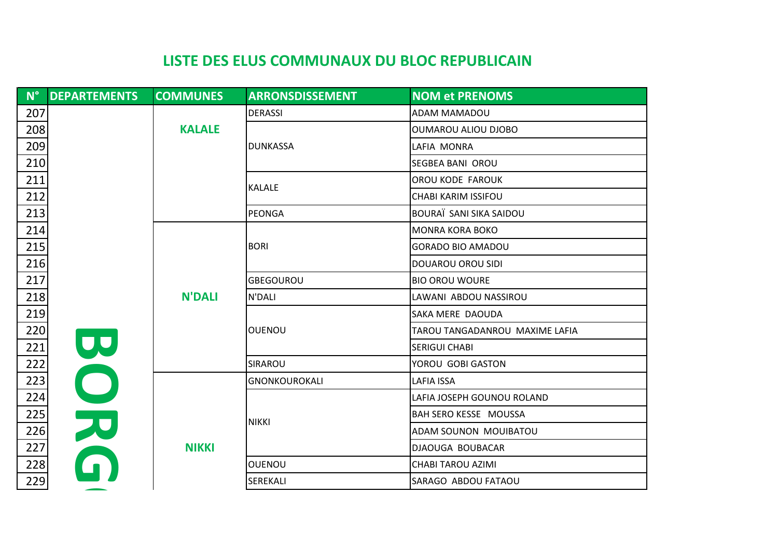| $N^{\circ}$ | <b>DEPARTEMENTS</b> | <b>COMMUNES</b> | <b>ARRONSDISSEMENT</b> | <b>NOM et PRENOMS</b>          |
|-------------|---------------------|-----------------|------------------------|--------------------------------|
| 207         |                     |                 | <b>DERASSI</b>         | <b>ADAM MAMADOU</b>            |
| 208         |                     | <b>KALALE</b>   |                        | <b>OUMAROU ALIOU DJOBO</b>     |
| 209         |                     |                 | <b>DUNKASSA</b>        | LAFIA MONRA                    |
| 210         |                     |                 |                        | <b>SEGBEA BANI OROU</b>        |
| 211         |                     |                 | <b>KALALE</b>          | <b>OROU KODE FAROUK</b>        |
| 212         |                     |                 |                        | <b>CHABI KARIM ISSIFOU</b>     |
| 213         |                     |                 | <b>PEONGA</b>          | BOURAÏ SANI SIKA SAIDOU        |
| 214         |                     |                 |                        | <b>MONRA KORA BOKO</b>         |
| 215         |                     |                 | <b>BORI</b>            | <b>GORADO BIO AMADOU</b>       |
| 216         |                     |                 |                        | <b>DOUAROU OROU SIDI</b>       |
| 217         |                     |                 | <b>GBEGOUROU</b>       | <b>BIO OROU WOURE</b>          |
| 218         |                     | <b>N'DALI</b>   | N'DALI                 | LAWANI ABDOU NASSIROU          |
| 219         |                     |                 |                        | SAKA MERE DAOUDA               |
| 220         |                     |                 | <b>OUENOU</b>          | TAROU TANGADANROU MAXIME LAFIA |
| 221         | UU                  |                 |                        | <b>SERIGUI CHABI</b>           |
| 222         |                     |                 | SIRAROU                | YOROU GOBI GASTON              |
| 223         |                     |                 | GNONKOUROKALI          | <b>LAFIA ISSA</b>              |
| 224         |                     |                 |                        | LAFIA JOSEPH GOUNOU ROLAND     |
| 225         |                     |                 | NIKKI                  | <b>BAH SERO KESSE MOUSSA</b>   |
| 226         | OR                  |                 |                        | ADAM SOUNON MOUIBATOU          |
| 227         |                     | <b>NIKKI</b>    |                        | DJAOUGA BOUBACAR               |
| 228         |                     |                 | <b>OUENOU</b>          | <b>CHABI TAROU AZIMI</b>       |
| 229         |                     |                 | SEREKALI               | SARAGO ABDOU FATAOU            |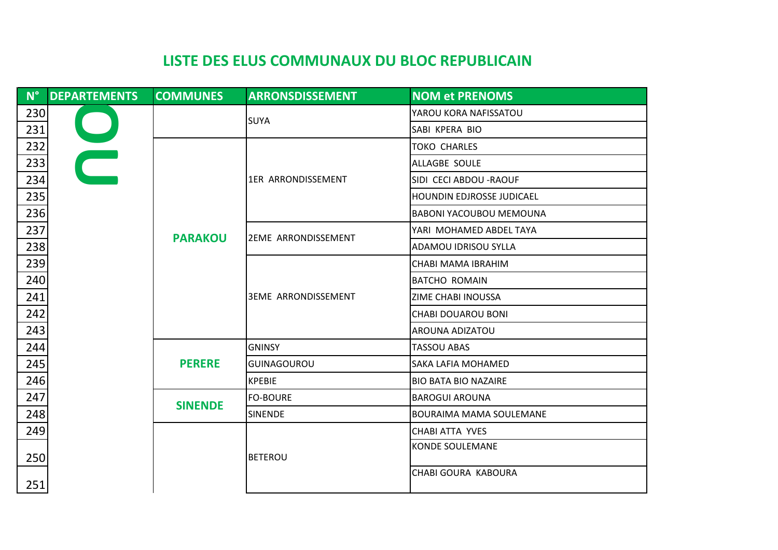| $N^{\circ}$ | <b>DEPARTEMENTS</b> | <b>COMMUNES</b> | <b>ARRONSDISSEMENT</b>     | <b>NOM et PRENOMS</b>          |
|-------------|---------------------|-----------------|----------------------------|--------------------------------|
| 230         |                     |                 | <b>SUYA</b>                | YAROU KORA NAFISSATOU          |
| 231         |                     |                 |                            | SABI KPERA BIO                 |
| 232         |                     |                 |                            | <b>TOKO CHARLES</b>            |
| 233         |                     |                 |                            | ALLAGBE SOULE                  |
| 234         |                     |                 | 1ER ARRONDISSEMENT         | SIDI CECI ABDOU - RAOUF        |
| 235         |                     |                 |                            | HOUNDIN EDJROSSE JUDICAEL      |
| 236         |                     |                 |                            | <b>BABONI YACOUBOU MEMOUNA</b> |
| 237         |                     |                 |                            | YARI MOHAMED ABDEL TAYA        |
| 238         |                     | <b>PARAKOU</b>  | <b>2EME ARRONDISSEMENT</b> | <b>ADAMOU IDRISOU SYLLA</b>    |
| 239         |                     | <b>PERERE</b>   | <b>3EME ARRONDISSEMENT</b> | CHABI MAMA IBRAHIM             |
| 240         |                     |                 |                            | <b>BATCHO ROMAIN</b>           |
| 241         |                     |                 |                            | ZIME CHABI INOUSSA             |
| 242         |                     |                 |                            | <b>CHABI DOUAROU BONI</b>      |
| 243         |                     |                 |                            | AROUNA ADIZATOU                |
| 244         |                     |                 | <b>GNINSY</b>              | <b>TASSOU ABAS</b>             |
| 245         |                     |                 | <b>GUINAGOUROU</b>         | SAKA LAFIA MOHAMED             |
| 246         |                     |                 | <b>KPEBIE</b>              | <b>BIO BATA BIO NAZAIRE</b>    |
| 247         |                     | <b>SINENDE</b>  | <b>FO-BOURE</b>            | <b>BAROGUI AROUNA</b>          |
| 248         |                     |                 | <b>SINENDE</b>             | <b>BOURAIMA MAMA SOULEMANE</b> |
| 249         |                     |                 |                            | <b>CHABI ATTA YVES</b>         |
|             |                     |                 |                            | <b>KONDE SOULEMANE</b>         |
| 250         |                     |                 | <b>BETEROU</b>             |                                |
| 251         |                     |                 |                            | CHABI GOURA KABOURA            |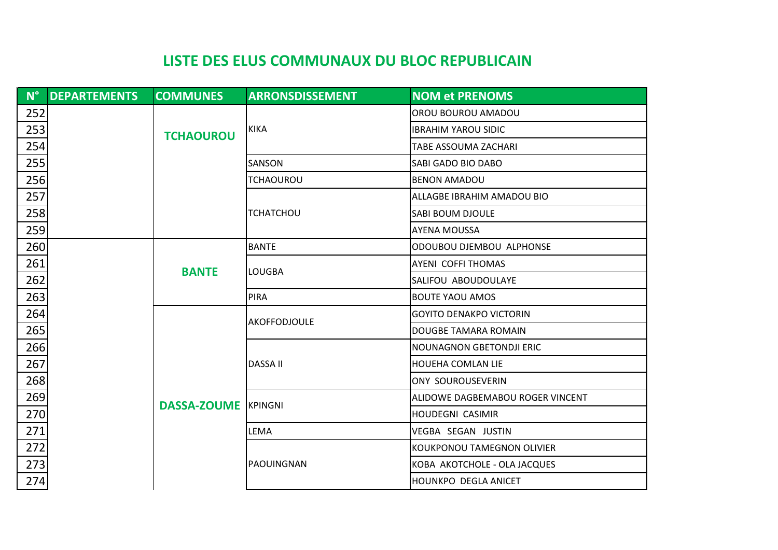|                 | N° DEPARTEMENTS | <b>COMMUNES</b>            | <b>ARRONSDISSEMENT</b> | <b>NOM et PRENOMS</b>            |
|-----------------|-----------------|----------------------------|------------------------|----------------------------------|
| 252             |                 |                            |                        | OROU BOUROU AMADOU               |
| 253             |                 | <b>TCHAOUROU</b>           | <b>KIKA</b>            | <b>IBRAHIM YAROU SIDIC</b>       |
| <u>254</u>      |                 |                            |                        | <b>TABE ASSOUMA ZACHARI</b>      |
| 255             |                 |                            | SANSON                 | SABI GADO BIO DABO               |
| 256             |                 |                            | TCHAOUROU              | <b>BENON AMADOU</b>              |
| 257             |                 |                            |                        | ALLAGBE IBRAHIM AMADOU BIO       |
| $\frac{258}{2}$ |                 |                            | <b>TCHATCHOU</b>       | <b>SABI BOUM DJOULE</b>          |
| 259             |                 |                            |                        | <b>AYENA MOUSSA</b>              |
| 260             |                 |                            | <b>BANTE</b>           | ODOUBOU DJEMBOU ALPHONSE         |
| 261             |                 |                            | llougba                | <b>AYENI COFFITHOMAS</b>         |
| 262             |                 | <b>BANTE</b>               |                        | SALIFOU ABOUDOULAYE              |
| 263             |                 |                            | <b>PIRA</b>            | <b>BOUTE YAOU AMOS</b>           |
| 264             |                 |                            | <b>AKOFFODJOULE</b>    | <b>GOYITO DENAKPO VICTORIN</b>   |
| $\frac{265}{2}$ |                 |                            |                        | DOUGBE TAMARA ROMAIN             |
| 266             |                 |                            |                        | <b>NOUNAGNON GBETONDJI ERIC</b>  |
| 267             |                 |                            | <b>DASSA II</b>        | <b>HOUEHA COMLAN LIE</b>         |
| <u>268</u>      |                 |                            |                        | <b>ONY SOUROUSEVERIN</b>         |
| 269             |                 | <b>DASSA-ZOUME KPINGNI</b> |                        | ALIDOWE DAGBEMABOU ROGER VINCENT |
| 270             |                 |                            |                        | <b>HOUDEGNI CASIMIR</b>          |
| 271             |                 |                            | LEMA                   | VEGBA SEGAN JUSTIN               |
| <u>272</u>      |                 |                            |                        | KOUKPONOU TAMEGNON OLIVIER       |
| <u>273</u>      |                 |                            | PAOUINGNAN             | KOBA AKOTCHOLE - OLA JACQUES     |
| 274             |                 |                            |                        | HOUNKPO DEGLA ANICET             |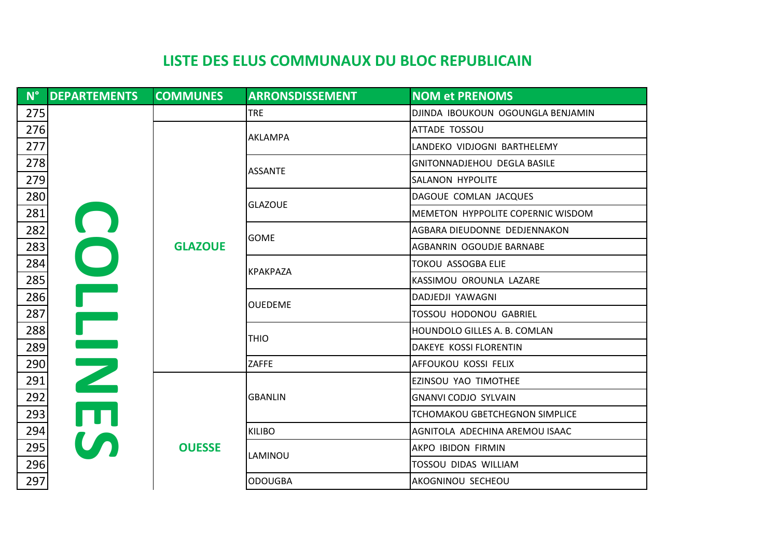|     | N° DEPARTEMENTS                                                                          | <b>COMMUNES</b> | <b>ARRONSDISSEMENT</b> | <b>NOM et PRENOMS</b>                 |
|-----|------------------------------------------------------------------------------------------|-----------------|------------------------|---------------------------------------|
| 275 |                                                                                          |                 | <b>TRE</b>             | DJINDA IBOUKOUN OGOUNGLA BENJAMIN     |
| 276 |                                                                                          |                 |                        | <b>ATTADE TOSSOU</b>                  |
| 277 |                                                                                          |                 | AKLAMPA                | LANDEKO VIDJOGNI BARTHELEMY           |
| 278 |                                                                                          |                 | <b>ASSANTE</b>         | <b>GNITONNADJEHOU DEGLA BASILE</b>    |
| 279 |                                                                                          |                 |                        | SALANON HYPOLITE                      |
| 280 |                                                                                          |                 |                        | DAGOUE COMLAN JACQUES                 |
| 281 |                                                                                          |                 | <b>GLAZOUE</b>         | MEMETON HYPPOLITE COPERNIC WISDOM     |
| 282 |                                                                                          |                 | <b>GOME</b>            | AGBARA DIEUDONNE DEDJENNAKON          |
| 283 | $\bigcirc$                                                                               | <b>GLAZOUE</b>  |                        | AGBANRIN OGOUDJE BARNABE              |
| 284 |                                                                                          |                 |                        | <b>TOKOU ASSOGBA ELIE</b>             |
| 285 |                                                                                          |                 | <b>KPAKPAZA</b>        | KASSIMOU OROUNLA LAZARE               |
| 286 | T<br>2<br>5<br>5<br>5<br>5<br>5<br>5<br>5<br>5<br>5<br>5<br>5<br>5<br>1<br>1<br><br><br> |                 |                        | DADJEDJI YAWAGNI                      |
| 287 |                                                                                          |                 | <b>OUEDEME</b>         | <b>TOSSOU HODONOU GABRIEL</b>         |
| 288 |                                                                                          |                 | <b>THIO</b>            | HOUNDOLO GILLES A. B. COMLAN          |
| 289 |                                                                                          |                 |                        | DAKEYE KOSSI FLORENTIN                |
| 290 |                                                                                          |                 | <b>ZAFFE</b>           | AFFOUKOU KOSSI FELIX                  |
| 291 |                                                                                          |                 |                        | EZINSOU YAO TIMOTHEE                  |
| 292 |                                                                                          |                 | <b>GBANLIN</b>         | <b>GNANVI CODJO SYLVAIN</b>           |
| 293 |                                                                                          |                 |                        | <b>TCHOMAKOU GBETCHEGNON SIMPLICE</b> |
| 294 |                                                                                          |                 | <b>KILIBO</b>          | AGNITOLA ADECHINA AREMOU ISAAC        |
| 295 |                                                                                          | <b>OUESSE</b>   |                        | AKPO IBIDON FIRMIN                    |
| 296 |                                                                                          |                 | LAMINOU                | TOSSOU DIDAS WILLIAM                  |
| 297 |                                                                                          |                 | <b>ODOUGBA</b>         | AKOGNINOU SECHEOU                     |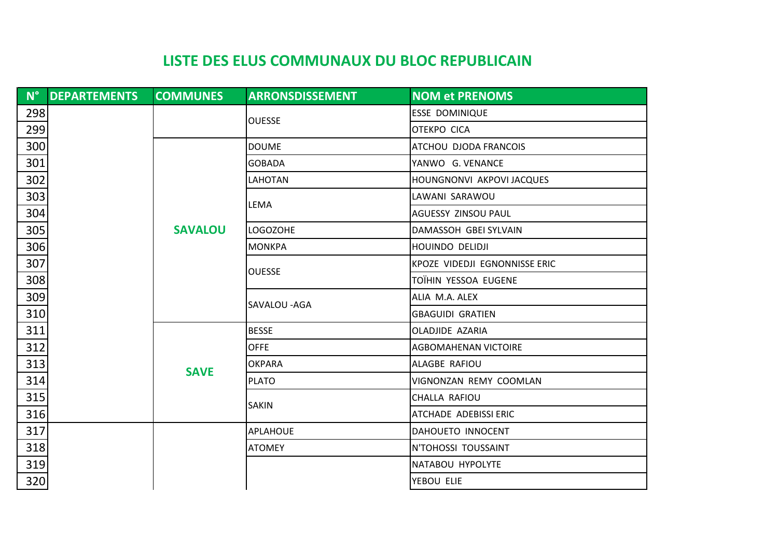|     | N° DEPARTEMENTS | <b>COMMUNES</b> | <b>ARRONSDISSEMENT</b> | <b>NOM et PRENOMS</b>         |
|-----|-----------------|-----------------|------------------------|-------------------------------|
| 298 |                 |                 |                        | <b>ESSE DOMINIQUE</b>         |
| 299 |                 |                 | <b>OUESSE</b>          | <b>OTEKPO CICA</b>            |
| 300 |                 |                 | <b>DOUME</b>           | ATCHOU DJODA FRANCOIS         |
| 301 |                 |                 | <b>GOBADA</b>          | YANWO G. VENANCE              |
| 302 |                 |                 | LAHOTAN                | HOUNGNONVI AKPOVI JACQUES     |
| 303 |                 |                 | LEMA                   | LAWANI SARAWOU                |
| 304 |                 |                 |                        | AGUESSY ZINSOU PAUL           |
| 305 |                 | <b>SAVALOU</b>  | <b>LOGOZOHE</b>        | DAMASSOH GBEI SYLVAIN         |
| 306 |                 |                 | <b>MONKPA</b>          | <b>HOUINDO DELIDJI</b>        |
| 307 |                 |                 | <b>OUESSE</b>          | KPOZE VIDEDJI EGNONNISSE ERIC |
| 308 |                 |                 |                        | TOÏHIN YESSOA EUGENE          |
| 309 |                 |                 | SAVALOU - AGA          | ALIA M.A. ALEX                |
| 310 |                 |                 |                        | <b>GBAGUIDI GRATIEN</b>       |
| 311 |                 | <b>SAVE</b>     | <b>BESSE</b>           | OLADJIDE AZARIA               |
| 312 |                 |                 | <b>OFFE</b>            | <b>AGBOMAHENAN VICTOIRE</b>   |
| 313 |                 |                 | <b>OKPARA</b>          | ALAGBE RAFIOU                 |
| 314 |                 |                 | <b>PLATO</b>           | VIGNONZAN REMY COOMLAN        |
| 315 |                 |                 | <b>SAKIN</b>           | CHALLA RAFIOU                 |
| 316 |                 |                 |                        | ATCHADE ADEBISSI ERIC         |
| 317 |                 |                 | <b>APLAHOUE</b>        | DAHOUETO INNOCENT             |
| 318 |                 |                 | <b>ATOMEY</b>          | N'TOHOSSI TOUSSAINT           |
| 319 |                 |                 |                        | NATABOU HYPOLYTE              |
| 320 |                 |                 |                        | YEBOU ELIE                    |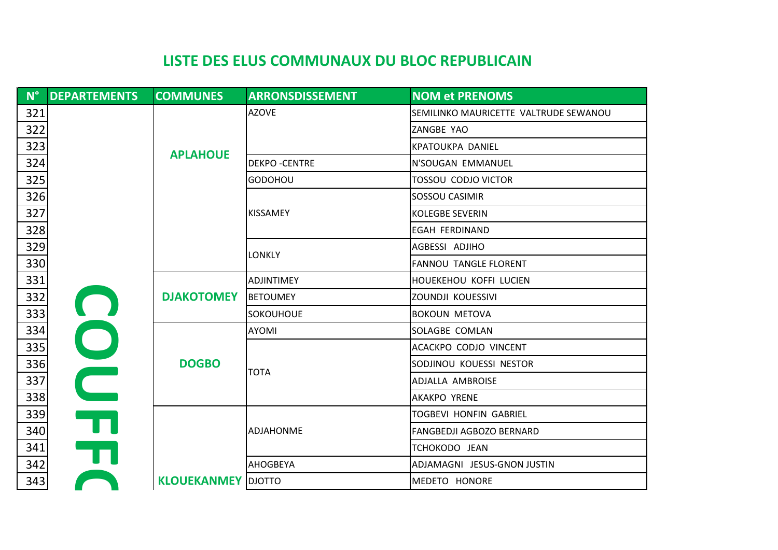| $N^{\circ}$ | <b>DEPARTEMENTS</b>     | <b>COMMUNES</b>           | <b>ARRONSDISSEMENT</b> | <b>NOM et PRENOMS</b>                 |
|-------------|-------------------------|---------------------------|------------------------|---------------------------------------|
| 321         |                         |                           | <b>AZOVE</b>           | SEMILINKO MAURICETTE VALTRUDE SEWANOU |
| 322         |                         |                           |                        | ZANGBE YAO                            |
| 323         |                         | <b>APLAHOUE</b>           |                        | KPATOUKPA DANIEL                      |
| 324         |                         |                           | <b>DEKPO-CENTRE</b>    | N'SOUGAN EMMANUEL                     |
| 325         |                         |                           | <b>GODOHOU</b>         | <b>TOSSOU CODJO VICTOR</b>            |
| 326         |                         |                           |                        | SOSSOU CASIMIR                        |
| 327         |                         |                           | <b>KISSAMEY</b>        | <b>KOLEGBE SEVERIN</b>                |
| 328         |                         |                           |                        | <b>EGAH FERDINAND</b>                 |
| 329         |                         |                           | <b>LONKLY</b>          | AGBESSI ADJIHO                        |
| 330         |                         |                           |                        | <b>FANNOU TANGLE FLORENT</b>          |
| 331         |                         |                           | <b>ADJINTIMEY</b>      | HOUEKEHOU KOFFI LUCIEN                |
| 332         |                         | <b>DJAKOTOMEY</b>         | <b>BETOUMEY</b>        | ZOUNDJI KOUESSIVI                     |
| 333         |                         |                           | <b>SOKOUHOUE</b>       | <b>BOKOUN METOVA</b>                  |
| 334         | OO                      |                           | <b>AYOMI</b>           | SOLAGBE COMLAN                        |
| 335         |                         |                           |                        | ACACKPO CODJO VINCENT                 |
| 336         |                         | <b>DOGBO</b>              | <b>TOTA</b>            | SODJINOU KOUESSI NESTOR               |
| 337         |                         |                           |                        | ADJALLA AMBROISE                      |
| 338         |                         |                           |                        | <b>AKAKPO YRENE</b>                   |
| 339         | $\overline{\mathbf{u}}$ |                           |                        | <b>TOGBEVI HONFIN GABRIEL</b>         |
| 340         |                         |                           | <b>ADJAHONME</b>       | <b>FANGBEDJI AGBOZO BERNARD</b>       |
| 341         | $\overline{\mathbf{U}}$ |                           |                        | TCHOKODO JEAN                         |
| 342         |                         |                           | <b>AHOGBEYA</b>        | ADJAMAGNI JESUS-GNON JUSTIN           |
| 343         |                         | <b>KLOUEKANMEY</b> DJOTTO |                        | MEDETO HONORE                         |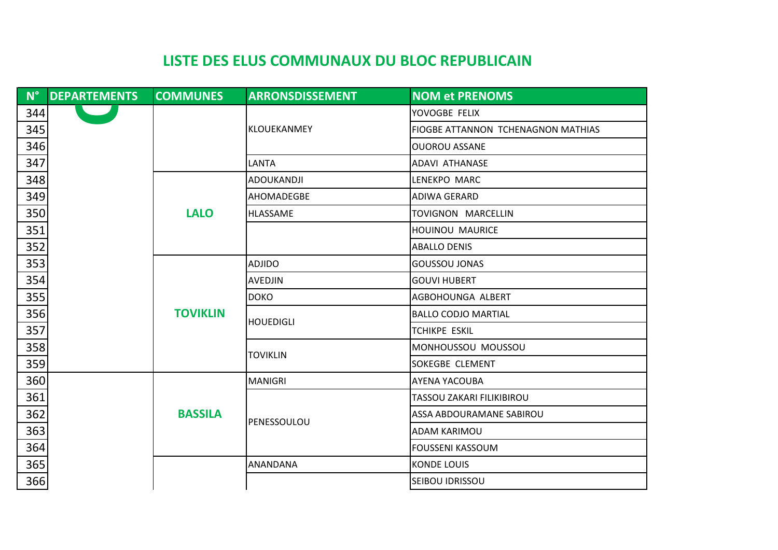| $N^{\circ}$ | <b>DEPARTEMENTS</b> | <b>COMMUNES</b> | <b>ARRONSDISSEMENT</b> | <b>NOM et PRENOMS</b>              |
|-------------|---------------------|-----------------|------------------------|------------------------------------|
| 344         |                     |                 |                        | YOVOGBE FELIX                      |
| 345         |                     |                 | <b>KLOUEKANMEY</b>     | FIOGBE ATTANNON TCHENAGNON MATHIAS |
| 346         |                     |                 |                        | <b>OUOROU ASSANE</b>               |
| 347         |                     |                 | LANTA                  | <b>ADAVI ATHANASE</b>              |
| 348         |                     |                 | ADOUKANDJI             | LENEKPO MARC                       |
| 349         |                     |                 | AHOMADEGBE             | <b>ADIWA GERARD</b>                |
| 350         |                     | <b>LALO</b>     | <b>HLASSAME</b>        | TOVIGNON MARCELLIN                 |
| 351         |                     |                 |                        | <b>HOUINOU MAURICE</b>             |
| 352         |                     |                 |                        | <b>ABALLO DENIS</b>                |
| 353         |                     |                 | <b>ADJIDO</b>          | <b>GOUSSOU JONAS</b>               |
| 354         |                     |                 | <b>AVEDJIN</b>         | <b>GOUVI HUBERT</b>                |
| 355         |                     |                 | <b>DOKO</b>            | AGBOHOUNGA ALBERT                  |
| 356         |                     | <b>TOVIKLIN</b> | <b>HOUEDIGLI</b>       | <b>BALLO CODJO MARTIAL</b>         |
| 357         |                     |                 |                        | <b>TCHIKPE ESKIL</b>               |
| 358         |                     |                 | <b>TOVIKLIN</b>        | MONHOUSSOU MOUSSOU                 |
| 359         |                     |                 |                        | <b>SOKEGBE CLEMENT</b>             |
| 360         |                     |                 | <b>MANIGRI</b>         | <b>AYENA YACOUBA</b>               |
| 361         |                     |                 |                        | TASSOU ZAKARI FILIKIBIROU          |
| 362         |                     | <b>BASSILA</b>  | PENESSOULOU            | ASSA ABDOURAMANE SABIROU           |
| 363         |                     |                 |                        | <b>ADAM KARIMOU</b>                |
| 364         |                     |                 |                        | <b>FOUSSENI KASSOUM</b>            |
| 365         |                     |                 | <b>ANANDANA</b>        | <b>KONDE LOUIS</b>                 |
| 366         |                     |                 |                        | SEIBOU IDRISSOU                    |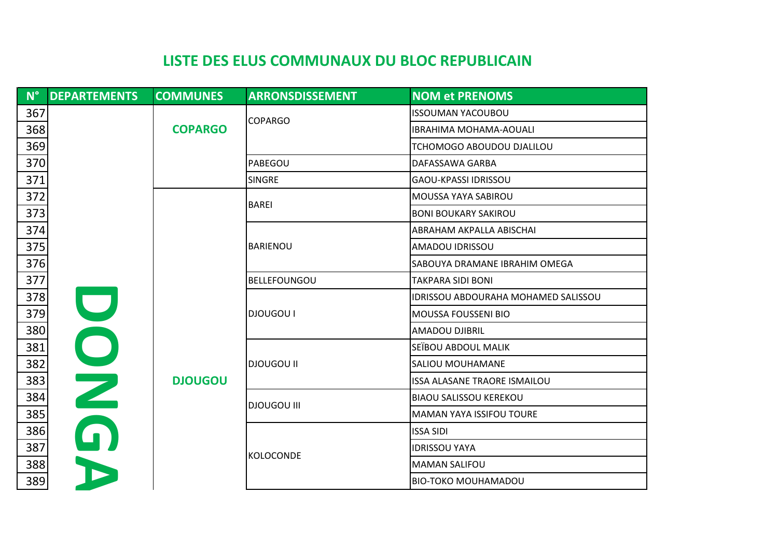| $N^{\circ}$ | <b>DEPARTEMENTS</b> | <b>COMMUNES</b> | <b>ARRONSDISSEMENT</b> | <b>NOM et PRENOMS</b>               |
|-------------|---------------------|-----------------|------------------------|-------------------------------------|
| 367         |                     |                 | <b>COPARGO</b>         | <b>ISSOUMAN YACOUBOU</b>            |
| 368         |                     | <b>COPARGO</b>  |                        | <b>IBRAHIMA MOHAMA-AOUALI</b>       |
| 369         |                     |                 |                        | TCHOMOGO ABOUDOU DJALILOU           |
| 370         |                     |                 | PABEGOU                | DAFASSAWA GARBA                     |
| 371         |                     |                 | <b>SINGRE</b>          | GAOU-KPASSI IDRISSOU                |
| 372         |                     |                 | <b>BAREI</b>           | <b>MOUSSA YAYA SABIROU</b>          |
| 373         |                     |                 |                        | <b>BONI BOUKARY SAKIROU</b>         |
| 374         |                     |                 |                        | <b>ABRAHAM AKPALLA ABISCHAI</b>     |
| 375         |                     |                 | <b>BARIENOU</b>        | AMADOU IDRISSOU                     |
| 376         |                     |                 |                        | SABOUYA DRAMANE IBRAHIM OMEGA       |
| 377         |                     |                 | <b>BELLEFOUNGOU</b>    | <b>TAKPARA SIDI BONI</b>            |
| 378         |                     |                 |                        | IDRISSOU ABDOURAHA MOHAMED SALISSOU |
| 379         |                     |                 | <b>DJOUGOU I</b>       | <b>MOUSSA FOUSSENI BIO</b>          |
| 380         |                     |                 |                        | <b>AMADOU DJIBRIL</b>               |
| 381         |                     |                 |                        | SEÏBOU ABDOUL MALIK                 |
| 382         |                     |                 | <b>DJOUGOU II</b>      | SALIOU MOUHAMANE                    |
| 383         | DN                  | <b>DJOUGOU</b>  |                        | ISSA ALASANE TRAORE ISMAILOU        |
| 384         |                     |                 | <b>DJOUGOU III</b>     | <b>BIAOU SALISSOU KEREKOU</b>       |
| 385         |                     |                 |                        | <b>MAMAN YAYA ISSIFOU TOURE</b>     |
| 386         | 0                   |                 |                        | <b>ISSA SIDI</b>                    |
| 387         |                     |                 | <b>KOLOCONDE</b>       | <b>IDRISSOU YAYA</b>                |
| 388         |                     |                 |                        | <b>MAMAN SALIFOU</b>                |
| 389         |                     |                 |                        | <b>BIO-TOKO MOUHAMADOU</b>          |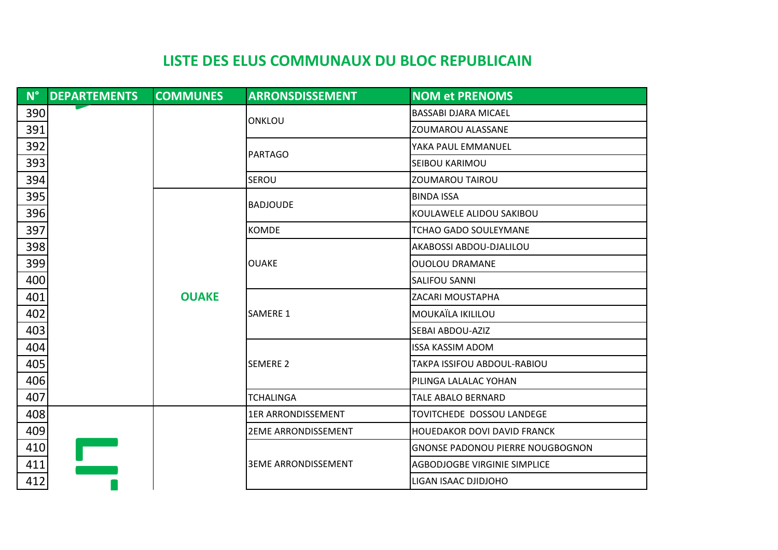| $N^{\circ}$ | <b>DEPARTEMENTS</b> | <b>COMMUNES</b> | <b>ARRONSDISSEMENT</b>     | <b>NOM et PRENOMS</b>                   |
|-------------|---------------------|-----------------|----------------------------|-----------------------------------------|
| 390         |                     |                 |                            | <b>BASSABI DJARA MICAEL</b>             |
| 391         |                     |                 | ONKLOU                     | ZOUMAROU ALASSANE                       |
| 392         |                     |                 |                            | YAKA PAUL EMMANUEL                      |
| 393         |                     |                 | PARTAGO                    | <b>SEIBOU KARIMOU</b>                   |
| 394         |                     |                 | <b>SEROU</b>               | <b>ZOUMAROU TAIROU</b>                  |
| 395         |                     |                 |                            | <b>BINDA ISSA</b>                       |
| 396         |                     |                 | <b>BADJOUDE</b>            | KOULAWELE ALIDOU SAKIBOU                |
| 397         |                     |                 | <b>KOMDE</b>               | <b>TCHAO GADO SOULEYMANE</b>            |
| 398         |                     |                 |                            | AKABOSSI ABDOU-DJALILOU                 |
| 399         |                     |                 | <b>OUAKE</b>               | <b>OUOLOU DRAMANE</b>                   |
| 400         |                     |                 |                            | <b>SALIFOU SANNI</b>                    |
| 401         |                     | <b>OUAKE</b>    |                            | ZACARI MOUSTAPHA                        |
| 402         |                     |                 | <b>SAMERE 1</b>            | MOUKAÏLA IKILILOU                       |
| 403         |                     |                 |                            | SEBAI ABDOU-AZIZ                        |
| 404         |                     |                 |                            | <b>ISSA KASSIM ADOM</b>                 |
| 405         |                     |                 | <b>SEMERE 2</b>            | TAKPA ISSIFOU ABDOUL-RABIOU             |
| 406         |                     |                 |                            | PILINGA LALALAC YOHAN                   |
| 407         |                     |                 | <b>TCHALINGA</b>           | <b>TALE ABALO BERNARD</b>               |
| 408         |                     |                 | <b>1ER ARRONDISSEMENT</b>  | TOVITCHEDE DOSSOU LANDEGE               |
| 409         |                     |                 | <b>2EME ARRONDISSEMENT</b> | <b>HOUEDAKOR DOVI DAVID FRANCK</b>      |
| 410         |                     |                 |                            | <b>GNONSE PADONOU PIERRE NOUGBOGNON</b> |
| 411         |                     |                 | <b>3EME ARRONDISSEMENT</b> | AGBODJOGBE VIRGINIE SIMPLICE            |
| 412         |                     |                 |                            | LIGAN ISAAC DJIDJOHO                    |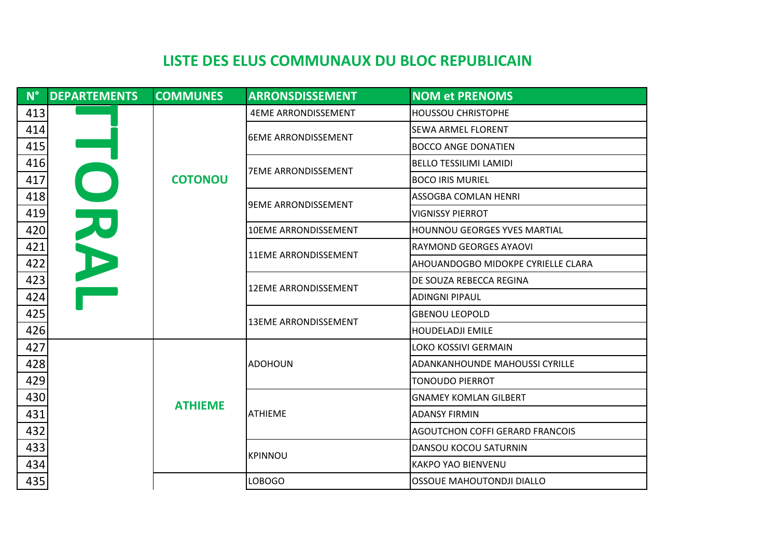| $N^{\circ}$ | <b>DEPARTEMENTS</b> | <b>COMMUNES</b> | <b>ARRONSDISSEMENT</b>      | <b>NOM et PRENOMS</b>                  |
|-------------|---------------------|-----------------|-----------------------------|----------------------------------------|
| 413         |                     |                 | <b>4EME ARRONDISSEMENT</b>  | <b>HOUSSOU CHRISTOPHE</b>              |
| 414         |                     |                 | <b>6EME ARRONDISSEMENT</b>  | <b>SEWA ARMEL FLORENT</b>              |
| 415         |                     |                 |                             | <b>BOCCO ANGE DONATIEN</b>             |
| 416         |                     | <b>COTONOU</b>  |                             | <b>BELLO TESSILIMI LAMIDI</b>          |
| 417         |                     |                 | <b>7EME ARRONDISSEMENT</b>  | <b>BOCO IRIS MURIEL</b>                |
| 418         |                     |                 |                             | ASSOGBA COMLAN HENRI                   |
| 419         | カト                  |                 | <b>9EME ARRONDISSEMENT</b>  | <b>VIGNISSY PIERROT</b>                |
| 420         |                     |                 | <b>10EME ARRONDISSEMENT</b> | <b>HOUNNOU GEORGES YVES MARTIAL</b>    |
| 421         |                     |                 | <b>11EME ARRONDISSEMENT</b> | RAYMOND GEORGES AYAOVI                 |
| 422         |                     |                 |                             | AHOUANDOGBO MIDOKPE CYRIELLE CLARA     |
| 423         |                     |                 |                             | DE SOUZA REBECCA REGINA                |
| 424         |                     |                 | <b>12EME ARRONDISSEMENT</b> | <b>ADINGNI PIPAUL</b>                  |
| 425         |                     |                 |                             | <b>GBENOU LEOPOLD</b>                  |
| 426         |                     |                 | <b>13EME ARRONDISSEMENT</b> | <b>HOUDELADJI EMILE</b>                |
| 427         |                     |                 |                             | LOKO KOSSIVI GERMAIN                   |
| 428         |                     |                 | <b>ADOHOUN</b>              | <b>ADANKANHOUNDE MAHOUSSI CYRILLE</b>  |
| 429         |                     |                 |                             | <b>TONOUDO PIERROT</b>                 |
| 430         |                     | <b>ATHIEME</b>  |                             | <b>GNAMEY KOMLAN GILBERT</b>           |
| 431         |                     |                 | <b>ATHIEME</b>              | <b>ADANSY FIRMIN</b>                   |
| 432         |                     |                 |                             | <b>AGOUTCHON COFFI GERARD FRANCOIS</b> |
| 433         |                     |                 |                             | DANSOU KOCOU SATURNIN                  |
| 434         |                     |                 | <b>KPINNOU</b>              | <b>KAKPO YAO BIENVENU</b>              |
| 435         |                     |                 | LOBOGO                      | OSSOUE MAHOUTONDJI DIALLO              |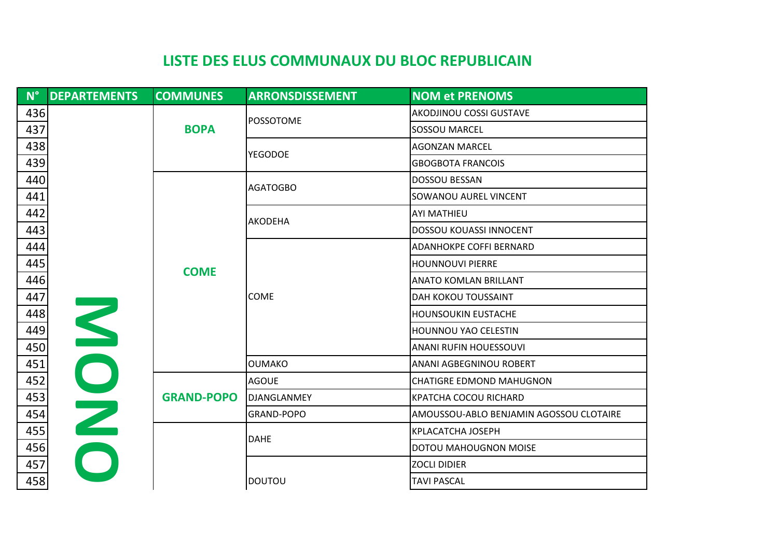|     | N° DEPARTEMENTS | <b>COMMUNES</b>   | <b>ARRONSDISSEMENT</b> | <b>NOM et PRENOMS</b>                   |
|-----|-----------------|-------------------|------------------------|-----------------------------------------|
| 436 |                 |                   |                        | <b>AKODJINOU COSSI GUSTAVE</b>          |
| 437 |                 | <b>BOPA</b>       | <b>POSSOTOME</b>       | <b>SOSSOU MARCEL</b>                    |
| 438 |                 |                   |                        | <b>AGONZAN MARCEL</b>                   |
| 439 |                 |                   | <b>YEGODOE</b>         | <b>GBOGBOTA FRANCOIS</b>                |
| 440 |                 |                   | <b>AGATOGBO</b>        | <b>DOSSOU BESSAN</b>                    |
| 441 |                 |                   |                        | SOWANOU AUREL VINCENT                   |
| 442 |                 |                   | <b>AKODEHA</b>         | <b>AYI MATHIEU</b>                      |
| 443 |                 |                   |                        | <b>DOSSOU KOUASSI INNOCENT</b>          |
| 444 |                 |                   |                        | <b>ADANHOKPE COFFI BERNARD</b>          |
| 445 |                 | <b>COME</b>       |                        | <b>HOUNNOUVI PIERRE</b>                 |
| 446 |                 |                   |                        | <b>ANATO KOMLAN BRILLANT</b>            |
| 447 |                 |                   | COME                   | <b>DAH KOKOU TOUSSAINT</b>              |
| 448 |                 |                   |                        | HOUNSOUKIN EUSTACHE                     |
| 449 |                 |                   |                        | HOUNNOU YAO CELESTIN                    |
| 450 | NON             |                   |                        | ANANI RUFIN HOUESSOUVI                  |
| 451 |                 |                   | <b>OUMAKO</b>          | <b>ANANI AGBEGNINOU ROBERT</b>          |
| 452 |                 |                   | <b>AGOUE</b>           | <b>CHATIGRE EDMOND MAHUGNON</b>         |
| 453 |                 | <b>GRAND-POPO</b> | DJANGLANMEY            | <b>KPATCHA COCOU RICHARD</b>            |
| 454 |                 |                   | GRAND-POPO             | AMOUSSOU-ABLO BENJAMIN AGOSSOU CLOTAIRE |
| 455 |                 |                   | <b>DAHE</b>            | <b>KPLACATCHA JOSEPH</b>                |
| 456 |                 |                   |                        | DOTOU MAHOUGNON MOISE                   |
| 457 |                 |                   |                        | <b>ZOCLI DIDIER</b>                     |
| 458 |                 |                   | <b>DOUTOU</b>          | <b>TAVI PASCAL</b>                      |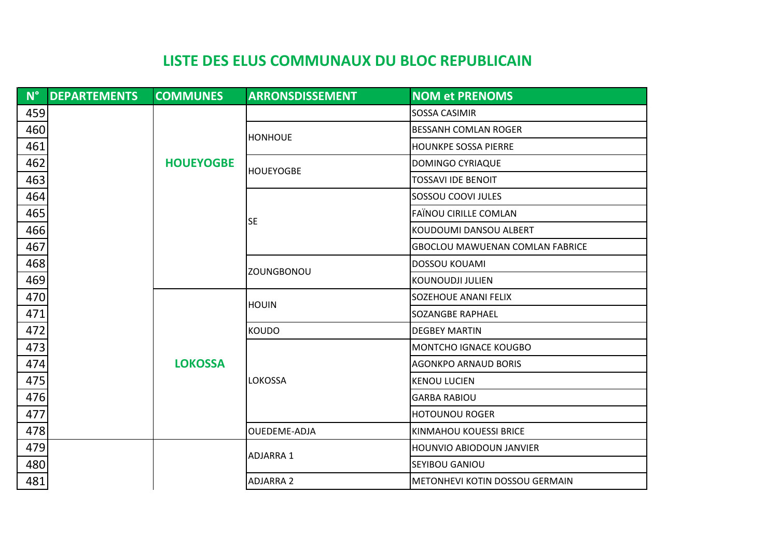|     | N° DEPARTEMENTS | <b>COMMUNES</b>  | <b>ARRONSDISSEMENT</b> | <b>NOM et PRENOMS</b>                  |
|-----|-----------------|------------------|------------------------|----------------------------------------|
| 459 |                 |                  |                        | <b>SOSSA CASIMIR</b>                   |
| 460 |                 |                  |                        | <b>BESSANH COMLAN ROGER</b>            |
| 461 |                 |                  | <b>HONHOUE</b>         | <b>HOUNKPE SOSSA PIERRE</b>            |
| 462 |                 | <b>HOUEYOGBE</b> | <b>HOUEYOGBE</b>       | DOMINGO CYRIAQUE                       |
| 463 |                 |                  |                        | <b>TOSSAVI IDE BENOIT</b>              |
| 464 |                 |                  |                        | SOSSOU COOVI JULES                     |
| 465 |                 |                  | <b>SE</b>              | <b>FAÏNOU CIRILLE COMLAN</b>           |
| 466 |                 |                  |                        | KOUDOUMI DANSOU ALBERT                 |
| 467 |                 |                  |                        | <b>GBOCLOU MAWUENAN COMLAN FABRICE</b> |
| 468 |                 |                  | <b>ZOUNGBONOU</b>      | <b>DOSSOU KOUAMI</b>                   |
| 469 |                 |                  |                        | KOUNOUDJI JULIEN                       |
| 470 |                 |                  | <b>HOUIN</b>           | SOZEHOUE ANANI FELIX                   |
| 471 |                 |                  |                        | SOZANGBE RAPHAEL                       |
| 472 |                 |                  | <b>KOUDO</b>           | <b>DEGBEY MARTIN</b>                   |
| 473 |                 |                  |                        | MONTCHO IGNACE KOUGBO                  |
| 474 |                 | <b>LOKOSSA</b>   |                        | <b>AGONKPO ARNAUD BORIS</b>            |
| 475 |                 |                  | <b>LOKOSSA</b>         | <b>KENOU LUCIEN</b>                    |
| 476 |                 |                  |                        | <b>GARBA RABIOU</b>                    |
| 477 |                 |                  |                        | <b>HOTOUNOU ROGER</b>                  |
| 478 |                 |                  | OUEDEME-ADJA           | <b>KINMAHOU KOUESSI BRICE</b>          |
| 479 |                 |                  | <b>ADJARRA 1</b>       | <b>HOUNVIO ABIODOUN JANVIER</b>        |
| 480 |                 |                  |                        | SEYIBOU GANIOU                         |
| 481 |                 |                  | <b>ADJARRA 2</b>       | METONHEVI KOTIN DOSSOU GERMAIN         |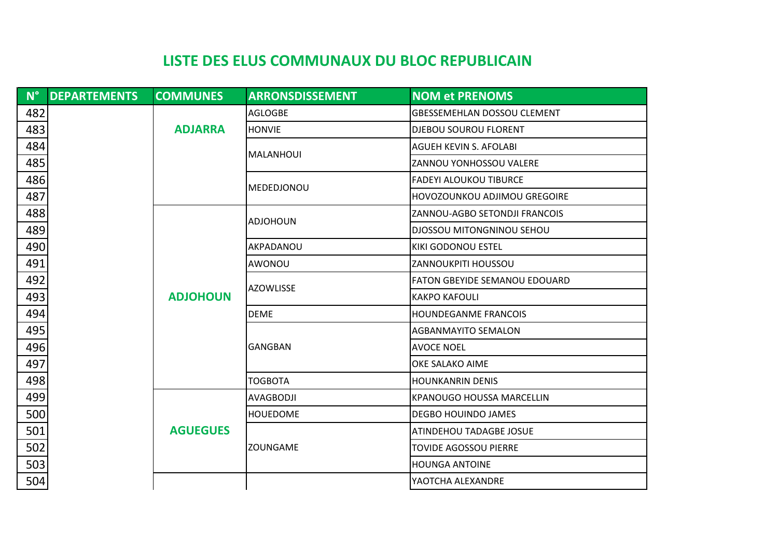| <b>DEPARTEMENTS</b><br>$N^{\circ}$ | <b>COMMUNES</b> | <b>ARRONSDISSEMENT</b> | <b>NOM et PRENOMS</b>                |
|------------------------------------|-----------------|------------------------|--------------------------------------|
| 482                                |                 | <b>AGLOGBE</b>         | <b>GBESSEMEHLAN DOSSOU CLEMENT</b>   |
| 483                                | <b>ADJARRA</b>  | <b>HONVIE</b>          | <b>DJEBOU SOUROU FLORENT</b>         |
| 484                                |                 | MALANHOUI              | <b>AGUEH KEVIN S. AFOLABI</b>        |
| 485                                |                 |                        | ZANNOU YONHOSSOU VALERE              |
| 486                                |                 | MEDEDJONOU             | <b>FADEYI ALOUKOU TIBURCE</b>        |
| 487                                |                 |                        | HOVOZOUNKOU ADJIMOU GREGOIRE         |
| 488                                |                 | <b>ADJOHOUN</b>        | ZANNOU-AGBO SETONDJI FRANCOIS        |
| 489                                |                 |                        | DJOSSOU MITONGNINOU SEHOU            |
| 490                                |                 | AKPADANOU              | <b>KIKI GODONOU ESTEL</b>            |
| 491                                |                 | AWONOU                 | ZANNOUKPITI HOUSSOU                  |
| 492                                |                 | <b>AZOWLISSE</b>       | <b>FATON GBEYIDE SEMANOU EDOUARD</b> |
| 493                                | <b>ADJOHOUN</b> |                        | <b>KAKPO KAFOULI</b>                 |
| 494                                |                 | <b>DEME</b>            | <b>HOUNDEGANME FRANCOIS</b>          |
| 495                                |                 |                        | <b>AGBANMAYITO SEMALON</b>           |
| 496                                |                 | <b>GANGBAN</b>         | <b>AVOCE NOEL</b>                    |
| 497                                |                 |                        | OKE SALAKO AIME                      |
| 498                                |                 | <b>TOGBOTA</b>         | <b>HOUNKANRIN DENIS</b>              |
| 499                                |                 | AVAGBODJI              | KPANOUGO HOUSSA MARCELLIN            |
| 500                                |                 | <b>HOUEDOME</b>        | <b>DEGBO HOUINDO JAMES</b>           |
| 501                                | <b>AGUEGUES</b> |                        | ATINDEHOU TADAGBE JOSUE              |
| 502                                |                 | ZOUNGAME               | <b>TOVIDE AGOSSOU PIERRE</b>         |
| 503                                |                 |                        | <b>HOUNGA ANTOINE</b>                |
| 504                                |                 |                        | YAOTCHA ALEXANDRE                    |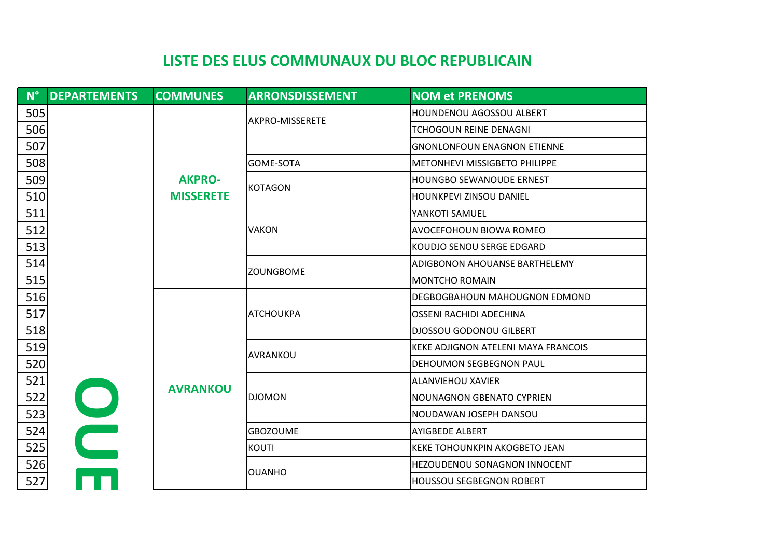| $N^{\circ}$ | <b>DEPARTEMENTS</b> | <b>COMMUNES</b>  | <b>ARRONSDISSEMENT</b> | <b>NOM et PRENOMS</b>                |
|-------------|---------------------|------------------|------------------------|--------------------------------------|
| 505         |                     |                  | <b>AKPRO-MISSERETE</b> | <b>HOUNDENOU AGOSSOU ALBERT</b>      |
| 506         |                     |                  |                        | TCHOGOUN REINE DENAGNI               |
| 507         |                     |                  |                        | <b>GNONLONFOUN ENAGNON ETIENNE</b>   |
| 508         |                     |                  | <b>GOME-SOTA</b>       | <b>METONHEVI MISSIGBETO PHILIPPE</b> |
| 509         |                     | <b>AKPRO-</b>    | KOTAGON                | HOUNGBO SEWANOUDE ERNEST             |
| 510         |                     | <b>MISSERETE</b> |                        | HOUNKPEVI ZINSOU DANIEL              |
| 511         |                     |                  |                        | YANKOTI SAMUEL                       |
| 512         |                     |                  | <b>VAKON</b>           | AVOCEFOHOUN BIOWA ROMEO              |
| 513         |                     |                  |                        | KOUDJO SENOU SERGE EDGARD            |
| 514         |                     |                  | <b>ZOUNGBOME</b>       | <b>ADIGBONON AHOUANSE BARTHELEMY</b> |
| 515         |                     |                  |                        | <b>MONTCHO ROMAIN</b>                |
| 516         |                     |                  |                        | DEGBOGBAHOUN MAHOUGNON EDMOND        |
| 517         |                     |                  | <b>ATCHOUKPA</b>       | OSSENI RACHIDI ADECHINA              |
| 518         |                     |                  |                        | <b>DJOSSOU GODONOU GILBERT</b>       |
| 519         |                     |                  | <b>AVRANKOU</b>        | KEKE ADJIGNON ATELENI MAYA FRANCOIS  |
| 520         |                     |                  |                        | <b>DEHOUMON SEGBEGNON PAUL</b>       |
| 521         |                     | <b>AVRANKOU</b>  |                        | <b>ALANVIEHOU XAVIER</b>             |
| 522         |                     |                  | <b>DJOMON</b>          | <b>NOUNAGNON GBENATO CYPRIEN</b>     |
| 523         |                     |                  |                        | NOUDAWAN JOSEPH DANSOU               |
| 524         |                     |                  | <b>GBOZOUME</b>        | <b>AYIGBEDE ALBERT</b>               |
| 525         |                     |                  | <b>KOUTI</b>           | KEKE TOHOUNKPIN AKOGBETO JEAN        |
| 526         |                     |                  | <b>OUANHO</b>          | HEZOUDENOU SONAGNON INNOCENT         |
| 527         |                     |                  |                        | <b>HOUSSOU SEGBEGNON ROBERT</b>      |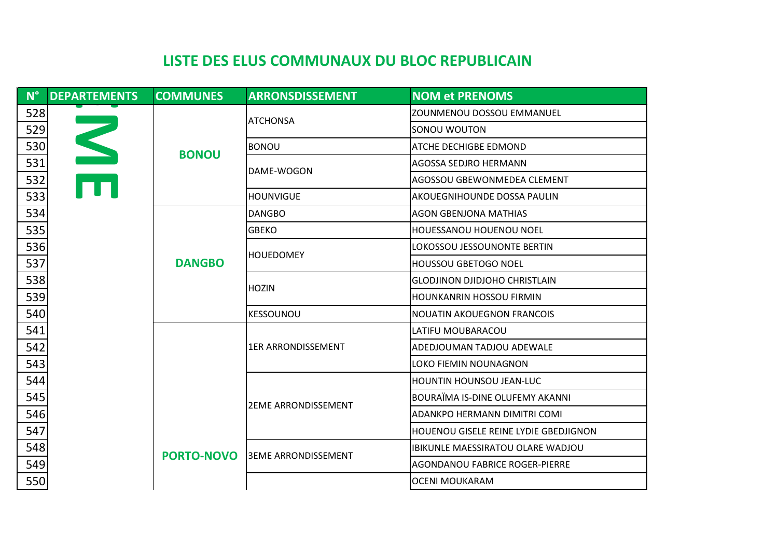| $N^{\circ}$ | <b>DEPARTEMENTS</b> | <b>COMMUNES</b>   | <b>ARRONSDISSEMENT</b>      | <b>NOM et PRENOMS</b>                        |
|-------------|---------------------|-------------------|-----------------------------|----------------------------------------------|
| 528         |                     |                   |                             | ZOUNMENOU DOSSOU EMMANUEL                    |
| 529         |                     |                   | <b>ATCHONSA</b>             | SONOU WOUTON                                 |
| 530         |                     | <b>BONOU</b>      | <b>BONOU</b>                | <b>ATCHE DECHIGBE EDMOND</b>                 |
| 531         | $\blacksquare$      |                   | DAME-WOGON                  | <b>AGOSSA SEDJRO HERMANN</b>                 |
| 532         | m                   |                   |                             | AGOSSOU GBEWONMEDEA CLEMENT                  |
| 533         |                     |                   | <b>HOUNVIGUE</b>            | <b>AKOUEGNIHOUNDE DOSSA PAULIN</b>           |
| 534         |                     |                   | <b>DANGBO</b>               | <b>AGON GBENJONA MATHIAS</b>                 |
| 535         |                     |                   | <b>GBEKO</b>                | <b>HOUESSANOU HOUENOU NOEL</b>               |
| 536         |                     |                   |                             | LOKOSSOU JESSOUNONTE BERTIN                  |
| 537         |                     | <b>DANGBO</b>     | <b>HOUEDOMEY</b>            | <b>HOUSSOU GBETOGO NOEL</b>                  |
| 538         |                     |                   | <b>HOZIN</b>                | <b>GLODJINON DJIDJOHO CHRISTLAIN</b>         |
| 539         |                     |                   |                             | HOUNKANRIN HOSSOU FIRMIN                     |
| 540         |                     |                   | <b>KESSOUNOU</b>            | <b>NOUATIN AKOUEGNON FRANCOIS</b>            |
| 541         |                     |                   |                             | LATIFU MOUBARACOU                            |
| 542         |                     |                   | <b>1ER ARRONDISSEMENT</b>   | ADEDJOUMAN TADJOU ADEWALE                    |
| 543         |                     |                   |                             | LOKO FIEMIN NOUNAGNON                        |
| 544         |                     |                   |                             | <b>HOUNTIN HOUNSOU JEAN-LUC</b>              |
| 545         |                     |                   | <b>2EME ARRONDISSEMENT</b>  | BOURAÏMA IS-DINE OLUFEMY AKANNI              |
| 546         |                     |                   |                             | ADANKPO HERMANN DIMITRI COMI                 |
| 547         |                     |                   |                             | <b>HOUENOU GISELE REINE LYDIE GBEDJIGNON</b> |
| 548         |                     | <b>PORTO-NOVO</b> | <b>J3EME ARRONDISSEMENT</b> | <b>IBIKUNLE MAESSIRATOU OLARE WADJOU</b>     |
| 549         |                     |                   |                             | AGONDANOU FABRICE ROGER-PIERRE               |
| 550         |                     |                   |                             | OCENI MOUKARAM                               |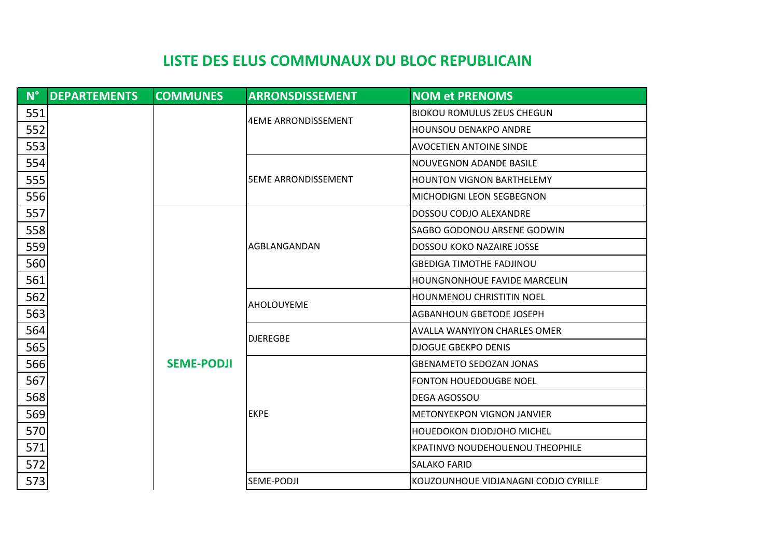| $\mathbf{N}^{\circ}$ | <b>DEPARTEMENTS</b> | <b>COMMUNES</b>   | <b>ARRONSDISSEMENT</b>               | <b>NOM et PRENOMS</b>                  |
|----------------------|---------------------|-------------------|--------------------------------------|----------------------------------------|
| 551                  |                     |                   | <b>4EME ARRONDISSEMENT</b>           | <b>BIOKOU ROMULUS ZEUS CHEGUN</b>      |
| 552                  |                     |                   |                                      | HOUNSOU DENAKPO ANDRE                  |
| 553                  |                     |                   |                                      | <b>AVOCETIEN ANTOINE SINDE</b>         |
| 554                  |                     |                   | <b>5EME ARRONDISSEMENT</b>           | <b>NOUVEGNON ADANDE BASILE</b>         |
| 555                  |                     |                   |                                      | <b>HOUNTON VIGNON BARTHELEMY</b>       |
| 556                  |                     |                   |                                      | MICHODIGNI LEON SEGBEGNON              |
| 557                  |                     |                   |                                      | DOSSOU CODJO ALEXANDRE                 |
| 558                  |                     |                   |                                      | SAGBO GODONOU ARSENE GODWIN            |
| 559                  |                     |                   | IAGBLANGANDAN                        | DOSSOU KOKO NAZAIRE JOSSE              |
| 560                  |                     |                   |                                      | <b>GBEDIGA TIMOTHE FADJINOU</b>        |
| 561                  |                     |                   |                                      | <b>HOUNGNONHOUE FAVIDE MARCELIN</b>    |
| 562                  |                     |                   | <b>AHOLOUYEME</b>                    | HOUNMENOU CHRISTITIN NOEL              |
| 563                  |                     |                   |                                      | AGBANHOUN GBETODE JOSEPH               |
| 564                  |                     | <b>SEME-PODJI</b> | <b>DJEREGBE</b>                      | AVALLA WANYIYON CHARLES OMER           |
| 565                  |                     |                   |                                      | <b>DJOGUE GBEKPO DENIS</b>             |
| 566                  |                     |                   |                                      | <b>GBENAMETO SEDOZAN JONAS</b>         |
| 567                  |                     |                   |                                      | FONTON HOUEDOUGBE NOEL                 |
| 568                  |                     |                   |                                      | <b>DEGA AGOSSOU</b>                    |
| 569                  |                     |                   | <b>EKPE</b>                          | METONYEKPON VIGNON JANVIER             |
| 570                  |                     |                   |                                      | HOUEDOKON DJODJOHO MICHEL              |
| 571                  |                     |                   |                                      | <b>KPATINVO NOUDEHOUENOU THEOPHILE</b> |
| 572                  |                     |                   | <b>SALAKO FARID</b>                  |                                        |
| 573                  |                     | SEME-PODJI        | KOUZOUNHOUE VIDJANAGNI CODJO CYRILLE |                                        |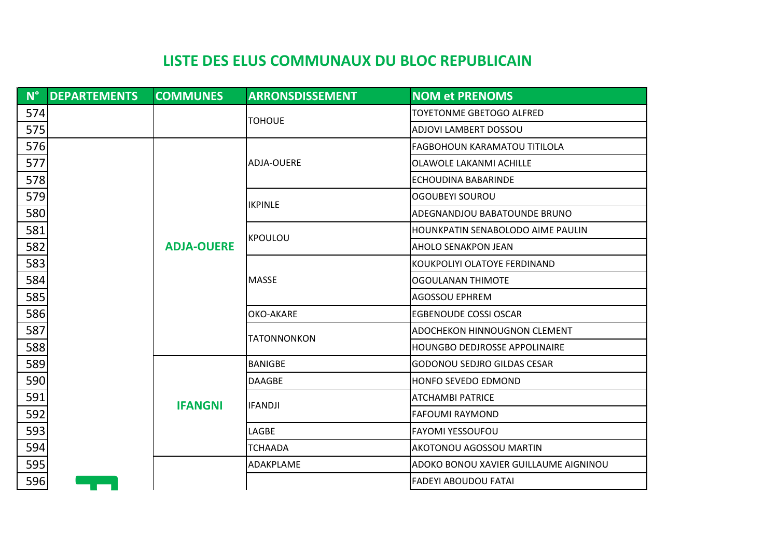|     | N° DEPARTEMENTS | <b>COMMUNES</b>   | <b>ARRONSDISSEMENT</b> | <b>NOM et PRENOMS</b>                 |
|-----|-----------------|-------------------|------------------------|---------------------------------------|
| 574 |                 |                   | <b>TOHOUE</b>          | TOYETONME GBETOGO ALFRED              |
| 575 |                 |                   |                        | ADJOVI LAMBERT DOSSOU                 |
| 576 |                 |                   |                        | <b>FAGBOHOUN KARAMATOU TITILOLA</b>   |
| 577 |                 |                   | <b>ADJA-OUERE</b>      | OLAWOLE LAKANMI ACHILLE               |
| 578 |                 |                   |                        | ECHOUDINA BABARINDE                   |
| 579 |                 |                   | <b>IKPINLE</b>         | <b>OGOUBEYI SOUROU</b>                |
| 580 |                 |                   |                        | ADEGNANDJOU BABATOUNDE BRUNO          |
| 581 |                 |                   | KPOULOU                | HOUNKPATIN SENABOLODO AIME PAULIN     |
| 582 |                 | <b>ADJA-OUERE</b> |                        | <b>AHOLO SENAKPON JEAN</b>            |
| 583 |                 |                   |                        | KOUKPOLIYI OLATOYE FERDINAND          |
| 584 |                 |                   | <b>MASSE</b>           | <b>OGOULANAN THIMOTE</b>              |
| 585 |                 |                   |                        | <b>AGOSSOU EPHREM</b>                 |
| 586 |                 |                   | <b>OKO-AKARE</b>       | <b>EGBENOUDE COSSI OSCAR</b>          |
| 587 |                 |                   | <b>TATONNONKON</b>     | ADOCHEKON HINNOUGNON CLEMENT          |
| 588 |                 |                   |                        | <b>HOUNGBO DEDJROSSE APPOLINAIRE</b>  |
| 589 |                 |                   | <b>BANIGBE</b>         | <b>GODONOU SEDJRO GILDAS CESAR</b>    |
| 590 |                 |                   | <b>DAAGBE</b>          | <b>HONFO SEVEDO EDMOND</b>            |
| 591 |                 | <b>IFANGNI</b>    | <b>IFANDJI</b>         | <b>ATCHAMBI PATRICE</b>               |
| 592 |                 |                   |                        | <b>FAFOUMI RAYMOND</b>                |
| 593 |                 |                   | LAGBE                  | <b>FAYOMI YESSOUFOU</b>               |
| 594 |                 |                   | <b>TCHAADA</b>         | <b>AKOTONOU AGOSSOU MARTIN</b>        |
| 595 |                 |                   | ADAKPLAME              | ADOKO BONOU XAVIER GUILLAUME AIGNINOU |
| 596 |                 |                   |                        | <b>FADEYI ABOUDOU FATAI</b>           |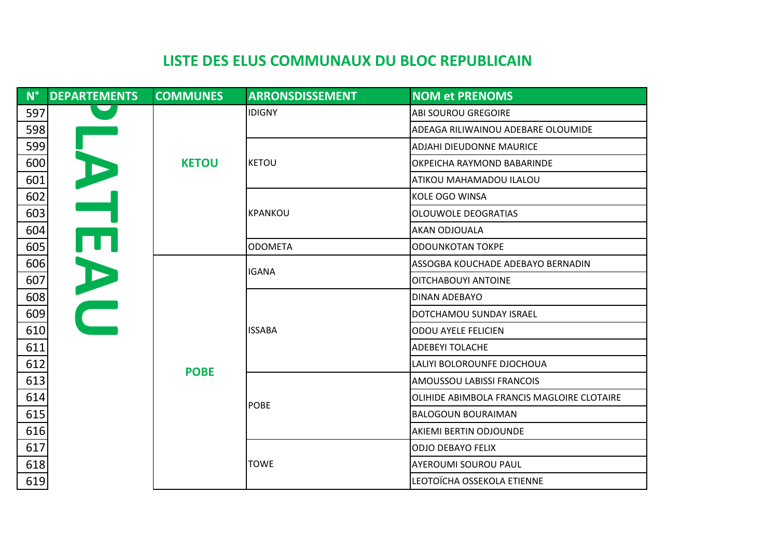| $N^{\circ}$ | <b>DEPARTEMENTS</b> | <b>COMMUNES</b> | <b>ARRONSDISSEMENT</b> | <b>NOM et PRENOMS</b>                      |
|-------------|---------------------|-----------------|------------------------|--------------------------------------------|
| 597         |                     |                 | <b>IDIGNY</b>          | <b>ABI SOUROU GREGOIRE</b>                 |
| 598         |                     |                 |                        | ADEAGA RILIWAINOU ADEBARE OLOUMIDE         |
| 599         |                     |                 |                        | <b>ADJAHI DIEUDONNE MAURICE</b>            |
| 600         | $\mathbf{L}$        | <b>KETOU</b>    | KETOU                  | OKPEICHA RAYMOND BABARINDE                 |
| 601         |                     |                 |                        | ATIKOU MAHAMADOU ILALOU                    |
| 602         |                     |                 |                        | KOLE OGO WINSA                             |
| 603         |                     |                 | KPANKOU                | OLOUWOLE DEOGRATIAS                        |
| 604         |                     |                 |                        | AKAN ODJOUALA                              |
| 605         | ŢT                  |                 | <b>ODOMETA</b>         | <b>ODOUNKOTAN TOKPE</b>                    |
| 606         |                     |                 | <b>IGANA</b>           | ASSOGBA KOUCHADE ADEBAYO BERNADIN          |
| 607         |                     |                 |                        | OITCHABOUYI ANTOINE                        |
| 608         | DO                  |                 |                        | DINAN ADEBAYO                              |
| 609         |                     |                 |                        | DOTCHAMOU SUNDAY ISRAEL                    |
| 610         |                     |                 | <b>ISSABA</b>          | <b>ODOU AYELE FELICIEN</b>                 |
| 611         |                     |                 |                        | <b>ADEBEYI TOLACHE</b>                     |
| 612         |                     | <b>POBE</b>     |                        | LALIYI BOLOROUNFE DJOCHOUA                 |
| 613         |                     |                 |                        | AMOUSSOU LABISSI FRANCOIS                  |
| 614         |                     |                 | <b>POBE</b>            | OLIHIDE ABIMBOLA FRANCIS MAGLOIRE CLOTAIRE |
| 615         |                     |                 |                        | <b>BALOGOUN BOURAIMAN</b>                  |
| 616         |                     |                 |                        | AKIEMI BERTIN ODJOUNDE                     |
| 617         |                     |                 |                        | <b>ODJO DEBAYO FELIX</b>                   |
| 618         |                     |                 | <b>TOWE</b>            | <b>AYEROUMI SOUROU PAUL</b>                |
| 619         |                     |                 |                        | LEOTOÏCHA OSSEKOLA ETIENNE                 |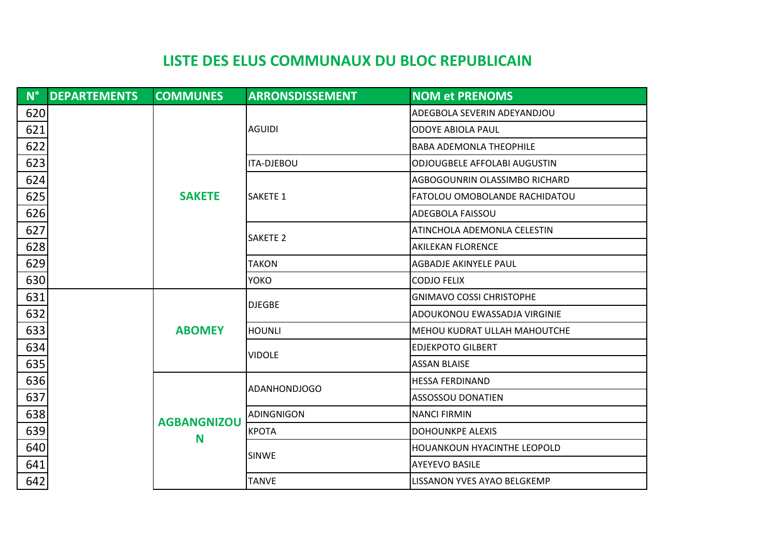| $N^{\circ}$ . | <b>DEPARTEMENTS</b> | <b>COMMUNES</b>         | <b>ARRONSDISSEMENT</b> | <b>NOM et PRENOMS</b>               |
|---------------|---------------------|-------------------------|------------------------|-------------------------------------|
| 620           |                     |                         | <b>AGUIDI</b>          | ADEGBOLA SEVERIN ADEYANDJOU         |
| 621           |                     |                         |                        | <b>ODOYE ABIOLA PAUL</b>            |
| 622           |                     |                         |                        | <b>BABA ADEMONLA THEOPHILE</b>      |
| 623           |                     |                         | <b>ITA-DJEBOU</b>      | <b>ODJOUGBELE AFFOLABI AUGUSTIN</b> |
| 624           |                     |                         |                        | AGBOGOUNRIN OLASSIMBO RICHARD       |
| 625           |                     | <b>SAKETE</b>           | <b>I</b> SAKETE 1      | FATOLOU OMOBOLANDE RACHIDATOU       |
| 626           |                     |                         |                        | <b>ADEGBOLA FAISSOU</b>             |
| 627           |                     |                         |                        | ATINCHOLA ADEMONLA CELESTIN         |
| 628           |                     |                         | <b>SAKETE 2</b>        | <b>AKILEKAN FLORENCE</b>            |
| 629           |                     |                         | <b>TAKON</b>           | <b>AGBADJE AKINYELE PAUL</b>        |
| 630           |                     |                         | <b>YOKO</b>            | <b>CODJO FELIX</b>                  |
| 631           |                     |                         | <b>DJEGBE</b>          | <b>GNIMAVO COSSI CHRISTOPHE</b>     |
| 632           |                     |                         |                        | ADOUKONOU EWASSADJA VIRGINIE        |
| 633           |                     | <b>ABOMEY</b>           | <b>HOUNLI</b>          | <b>MEHOU KUDRAT ULLAH MAHOUTCHE</b> |
| 634           |                     |                         | <b>VIDOLE</b>          | <b>EDJEKPOTO GILBERT</b>            |
| 635           |                     |                         |                        | <b>ASSAN BLAISE</b>                 |
| 636           |                     |                         | <b>ADANHONDJOGO</b>    | <b>HESSA FERDINAND</b>              |
| 637           |                     |                         |                        | <b>ASSOSSOU DONATIEN</b>            |
| 638           |                     | <b>AGBANGNIZOU</b><br>N | ADINGNIGON             | <b>NANCI FIRMIN</b>                 |
| 639           |                     |                         | <b>KPOTA</b>           | <b>DOHOUNKPE ALEXIS</b>             |
| 640           |                     |                         | <b>SINWE</b>           | HOUANKOUN HYACINTHE LEOPOLD         |
| 641           |                     |                         |                        | <b>AYEYEVO BASILE</b>               |
| 642           |                     |                         | <b>TANVE</b>           | LISSANON YVES AYAO BELGKEMP         |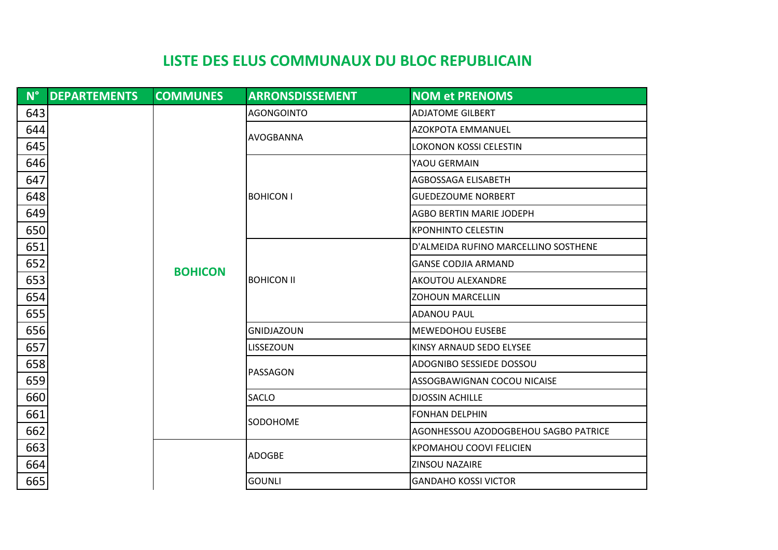|     | N° DEPARTEMENTS | <b>COMMUNES</b> | <b>ARRONSDISSEMENT</b> | <b>NOM et PRENOMS</b>                |
|-----|-----------------|-----------------|------------------------|--------------------------------------|
| 643 |                 |                 | <b>AGONGOINTO</b>      | <b>ADJATOME GILBERT</b>              |
| 644 |                 |                 |                        | <b>AZOKPOTA EMMANUEL</b>             |
| 645 |                 |                 | AVOGBANNA              | <b>LOKONON KOSSI CELESTIN</b>        |
| 646 |                 |                 |                        | YAOU GERMAIN                         |
| 647 |                 |                 |                        | AGBOSSAGA ELISABETH                  |
| 648 |                 |                 | <b>BOHICON I</b>       | <b>GUEDEZOUME NORBERT</b>            |
| 649 |                 |                 |                        | <b>AGBO BERTIN MARIE JODEPH</b>      |
| 650 |                 |                 |                        | <b>KPONHINTO CELESTIN</b>            |
| 651 |                 |                 |                        | D'ALMEIDA RUFINO MARCELLINO SOSTHENE |
| 652 |                 |                 |                        | <b>GANSE CODJIA ARMAND</b>           |
| 653 |                 | <b>BOHICON</b>  | <b>BOHICON II</b>      | AKOUTOU ALEXANDRE                    |
| 654 |                 |                 |                        | <b>ZOHOUN MARCELLIN</b>              |
| 655 |                 |                 |                        | <b>ADANOU PAUL</b>                   |
| 656 |                 |                 | <b>GNIDJAZOUN</b>      | <b>MEWEDOHOU EUSEBE</b>              |
| 657 |                 |                 | LISSEZOUN              | KINSY ARNAUD SEDO ELYSEE             |
| 658 |                 |                 |                        | ADOGNIBO SESSIEDE DOSSOU             |
| 659 |                 |                 | PASSAGON               | ASSOGBAWIGNAN COCOU NICAISE          |
| 660 |                 |                 | <b>SACLO</b>           | <b>DJOSSIN ACHILLE</b>               |
| 661 |                 |                 | SODOHOME               | <b>FONHAN DELPHIN</b>                |
| 662 |                 |                 |                        | AGONHESSOU AZODOGBEHOU SAGBO PATRICE |
| 663 |                 |                 | <b>ADOGBE</b>          | <b>KPOMAHOU COOVI FELICIEN</b>       |
| 664 |                 |                 |                        | <b>ZINSOU NAZAIRE</b>                |
| 665 |                 |                 | <b>GOUNLI</b>          | <b>GANDAHO KOSSI VICTOR</b>          |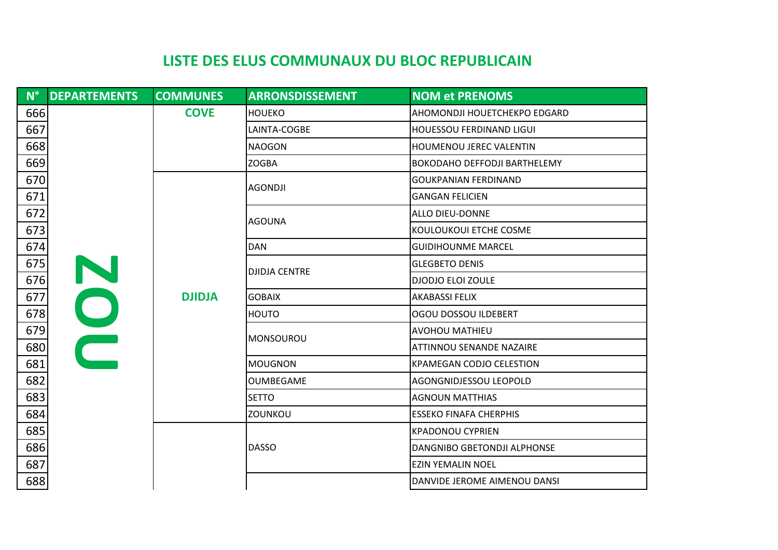| $\blacksquare$ N° $\blacksquare$ | <b>DEPARTEMENTS</b> | <b>COMMUNES</b> | <b>ARRONSDISSEMENT</b> | <b>NOM et PRENOMS</b>               |
|----------------------------------|---------------------|-----------------|------------------------|-------------------------------------|
| 666                              |                     | <b>COVE</b>     | <b>HOUEKO</b>          | AHOMONDJI HOUETCHEKPO EDGARD        |
| 667                              |                     |                 | LAINTA-COGBE           | <b>HOUESSOU FERDINAND LIGUI</b>     |
| 668                              |                     |                 | <b>NAOGON</b>          | HOUMENOU JEREC VALENTIN             |
| 669                              |                     |                 | <b>ZOGBA</b>           | <b>BOKODAHO DEFFODJI BARTHELEMY</b> |
| 670                              |                     |                 | <b>AGONDJI</b>         | <b>GOUKPANIAN FERDINAND</b>         |
| 671                              |                     |                 |                        | <b>GANGAN FELICIEN</b>              |
| 672                              |                     |                 | <b>AGOUNA</b>          | ALLO DIEU-DONNE                     |
| 673                              |                     |                 |                        | KOULOUKOUI ETCHE COSME              |
| 674                              |                     |                 | <b>DAN</b>             | <b>GUIDIHOUNME MARCEL</b>           |
| 675                              |                     |                 | <b>DJIDJA CENTRE</b>   | <b>GLEGBETO DENIS</b>               |
| 676                              | N                   |                 |                        | <b>DJODJO ELOI ZOULE</b>            |
| 677                              |                     | <b>DJIDJA</b>   | <b>GOBAIX</b>          | <b>AKABASSI FELIX</b>               |
| 678                              |                     |                 | <b>HOUTO</b>           | OGOU DOSSOU ILDEBERT                |
| 679                              | OO                  |                 | <b>MONSOUROU</b>       | <b>AVOHOU MATHIEU</b>               |
| 680                              |                     |                 |                        | ATTINNOU SENANDE NAZAIRE            |
| 681                              |                     |                 | <b>MOUGNON</b>         | <b>KPAMEGAN CODJO CELESTION</b>     |
| 682                              |                     |                 | <b>OUMBEGAME</b>       | AGONGNIDJESSOU LEOPOLD              |
| 683                              |                     |                 | <b>SETTO</b>           | <b>AGNOUN MATTHIAS</b>              |
| 684                              |                     |                 | ZOUNKOU                | <b>ESSEKO FINAFA CHERPHIS</b>       |
| 685                              |                     |                 |                        | <b>KPADONOU CYPRIEN</b>             |
| 686                              |                     |                 | <b>DASSO</b>           | DANGNIBO GBETONDJI ALPHONSE         |
| 687                              |                     |                 |                        | <b>EZIN YEMALIN NOEL</b>            |
| 688                              |                     |                 |                        | DANVIDE JEROME AIMENOU DANSI        |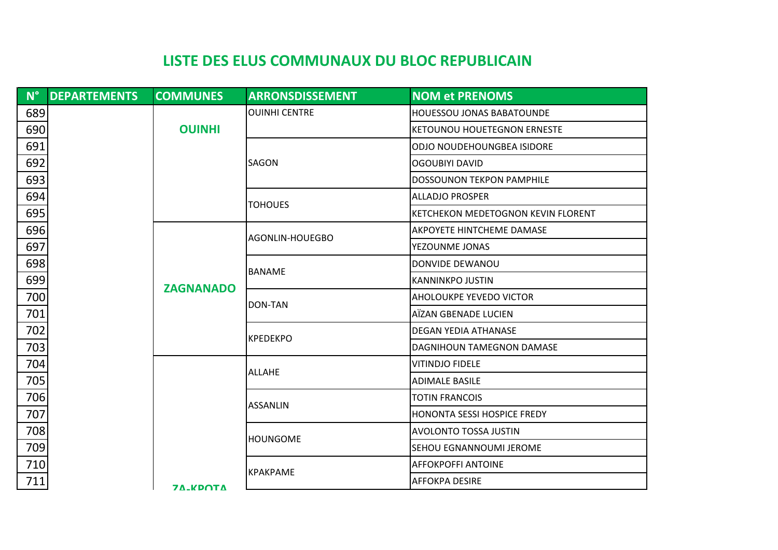| $N^{\circ}$ | <b>DEPARTEMENTS</b> | <b>COMMUNES</b>        | <b>ARRONSDISSEMENT</b> | <b>NOM et PRENOMS</b>              |
|-------------|---------------------|------------------------|------------------------|------------------------------------|
| 689         |                     |                        | <b>OUINHI CENTRE</b>   | <b>HOUESSOU JONAS BABATOUNDE</b>   |
| 690         |                     | <b>OUINHI</b>          |                        | <b>KETOUNOU HOUETEGNON ERNESTE</b> |
| 691         |                     |                        |                        | ODJO NOUDEHOUNGBEA ISIDORE         |
| 692         |                     |                        | <b>SAGON</b>           | <b>OGOUBIYI DAVID</b>              |
| 693         |                     |                        |                        | <b>DOSSOUNON TEKPON PAMPHILE</b>   |
| 694         |                     |                        | <b>TOHOUES</b>         | <b>ALLADJO PROSPER</b>             |
| 695         |                     |                        |                        | KETCHEKON MEDETOGNON KEVIN FLORENT |
| 696         |                     |                        | AGONLIN-HOUEGBO        | <b>AKPOYETE HINTCHEME DAMASE</b>   |
| 697         |                     |                        |                        | YEZOUNME JONAS                     |
| 698         |                     |                        |                        | DONVIDE DEWANOU                    |
| 699         |                     | <b>ZAGNANADO</b>       | <b>BANAME</b>          | <b>KANNINKPO JUSTIN</b>            |
| 700         |                     |                        |                        | AHOLOUKPE YEVEDO VICTOR            |
| 701         |                     |                        | DON-TAN                | AÏZAN GBENADE LUCIEN               |
| 702         |                     |                        | <b>KPEDEKPO</b>        | <b>DEGAN YEDIA ATHANASE</b>        |
| 703         |                     |                        |                        | <b>DAGNIHOUN TAMEGNON DAMASE</b>   |
| 704         |                     |                        | <b>ALLAHE</b>          | <b>VITINDJO FIDELE</b>             |
| 705         |                     |                        |                        | <b>ADIMALE BASILE</b>              |
| 706         |                     |                        | <b>ASSANLIN</b>        | <b>TOTIN FRANCOIS</b>              |
| 707         |                     |                        |                        | HONONTA SESSI HOSPICE FREDY        |
| 708         |                     |                        | <b>HOUNGOME</b>        | <b>AVOLONTO TOSSA JUSTIN</b>       |
| 709         |                     |                        |                        | <b>SEHOU EGNANNOUMI JEROME</b>     |
| 710         |                     |                        |                        | AFFOKPOFFI ANTOINE                 |
| 711         |                     | <b><i>TA VOOTA</i></b> | <b>KPAKPAME</b>        | <b>AFFOKPA DESIRE</b>              |